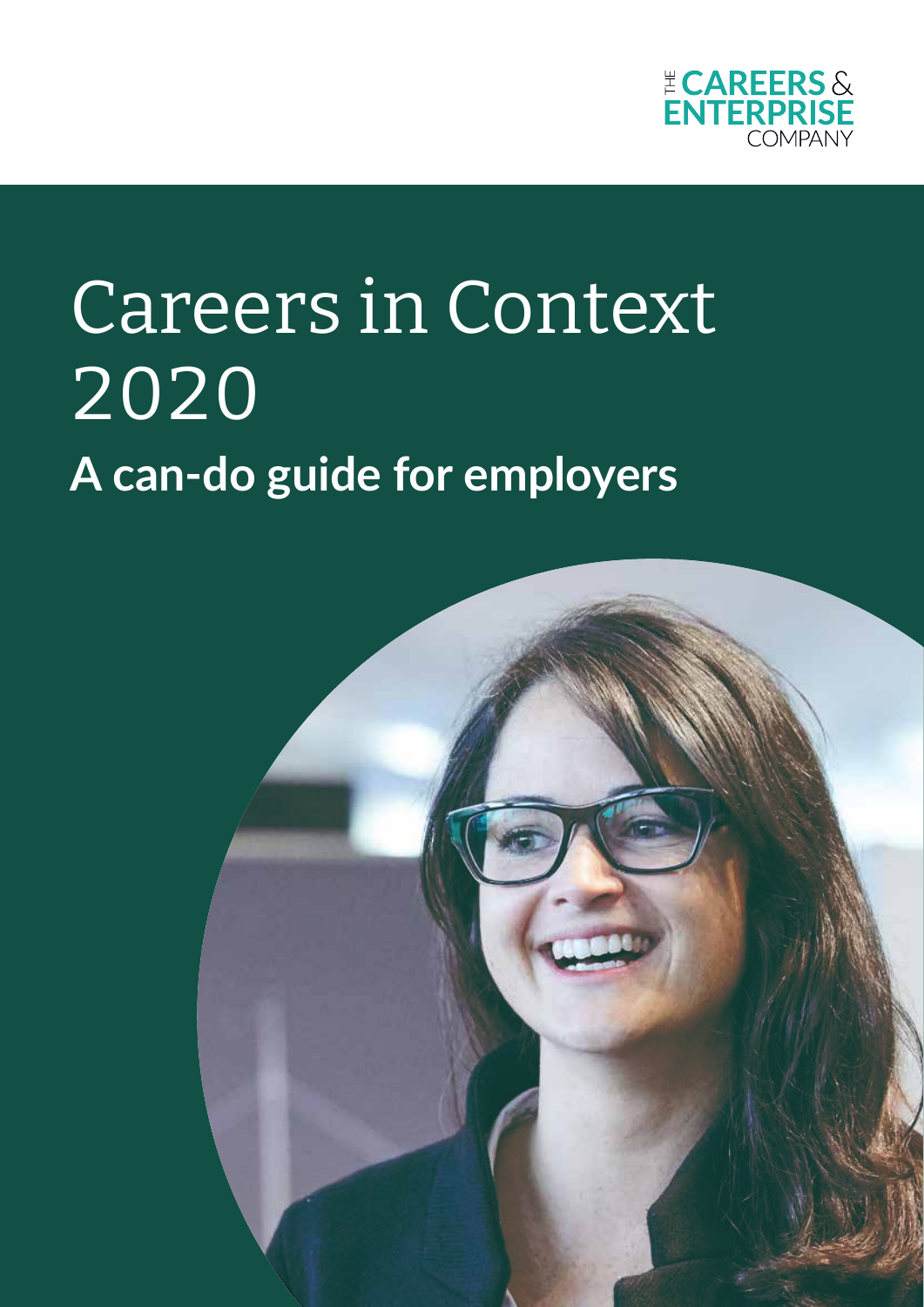

# Careers in Context 2020 **A can-do guide for employers**

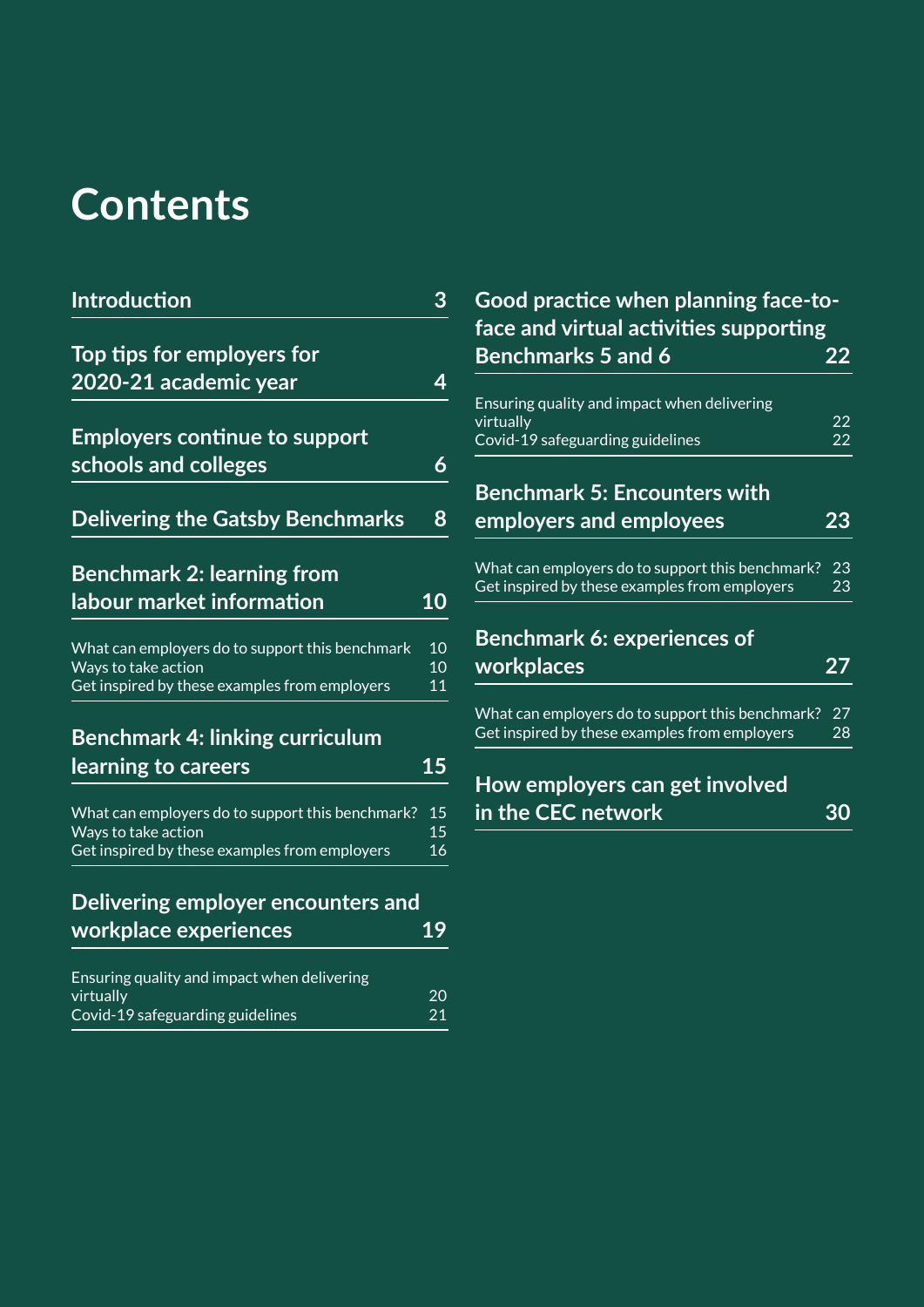# **Contents**

| <b>Introduction</b>                                                                                                      | 3                           |
|--------------------------------------------------------------------------------------------------------------------------|-----------------------------|
| Top tips for employers for                                                                                               |                             |
| 2020-21 academic year                                                                                                    | 4                           |
| <b>Employers continue to support</b>                                                                                     |                             |
| schools and colleges                                                                                                     | 6                           |
| <b>Delivering the Gatsby Benchmarks</b>                                                                                  | 8                           |
| <b>Benchmark 2: learning from</b>                                                                                        |                             |
| labour market information                                                                                                | 10                          |
| What can employers do to support this benchmark<br>Ways to take action                                                   | 10<br>10                    |
| Get inspired by these examples from employers                                                                            | 11                          |
| <b>Benchmark 4: linking curriculum</b>                                                                                   |                             |
| learning to careers                                                                                                      | 15                          |
| What can employers do to support this benchmark?<br>Ways to take action<br>Get inspired by these examples from employers | 15<br>15<br>$\overline{16}$ |
|                                                                                                                          |                             |
| Delivering employer encounters and                                                                                       |                             |
| workplace experiences                                                                                                    | 19                          |

| Ensuring quality and impact when delivering |    |
|---------------------------------------------|----|
| virtually                                   | 20 |
| Covid-19 safeguarding guidelines            | 21 |

| Good practice when planning face-to-   |    |
|----------------------------------------|----|
| face and virtual activities supporting |    |
| <b>Benchmarks 5 and 6</b>              | 22 |
|                                        |    |

| Ensuring quality and impact when delivering      |                 |
|--------------------------------------------------|-----------------|
| virtually                                        | $\overline{22}$ |
| Covid-19 safeguarding guidelines                 | 22              |
| <b>Benchmark 5: Encounters with</b>              |                 |
| employers and employees                          | 23              |
| What can employers do to support this benchmark? | 23              |
| Get inspired by these examples from employers    | 23              |
| <b>Benchmark 6: experiences of</b>               |                 |
| workplaces                                       | 27              |
| What can employers do to support this benchmark? | 27              |
| Get inspired by these examples from employers    | 28              |

| How employers can get involved |    |
|--------------------------------|----|
| in the CEC network             | 30 |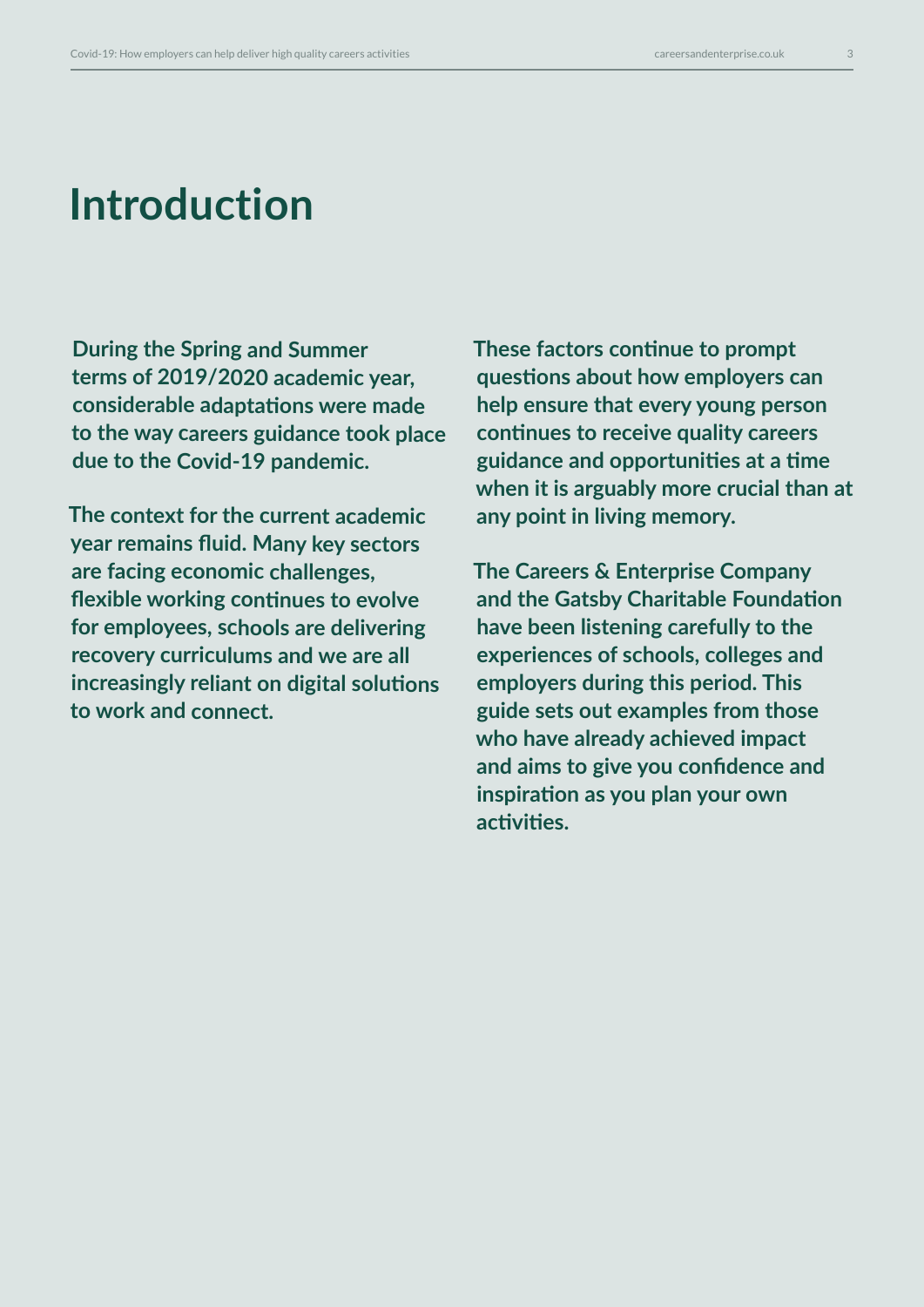## **Introduction**

**During the Spring and Summer terms of 2019/2020 academic year, considerable adaptations were made to the way careers guidance took place due to the Covid-19 pandemic.** 

**The context for the current academic year remains fluid. Many key sectors are facing economic challenges, flexible working continues to evolve for employees, schools are delivering recovery curriculums and we are all increasingly reliant on digital solutions to work and connect.** 

**These factors continue to prompt questions about how employers can help ensure that every young person continues to receive quality careers guidance and opportunities at a time when it is arguably more crucial than at any point in living memory.** 

**The Careers & Enterprise Company and the Gatsby Charitable Foundation have been listening carefully to the experiences of schools, colleges and employers during this period. This guide sets out examples from those who have already achieved impact and aims to give you confidence and inspiration as you plan your own activities.**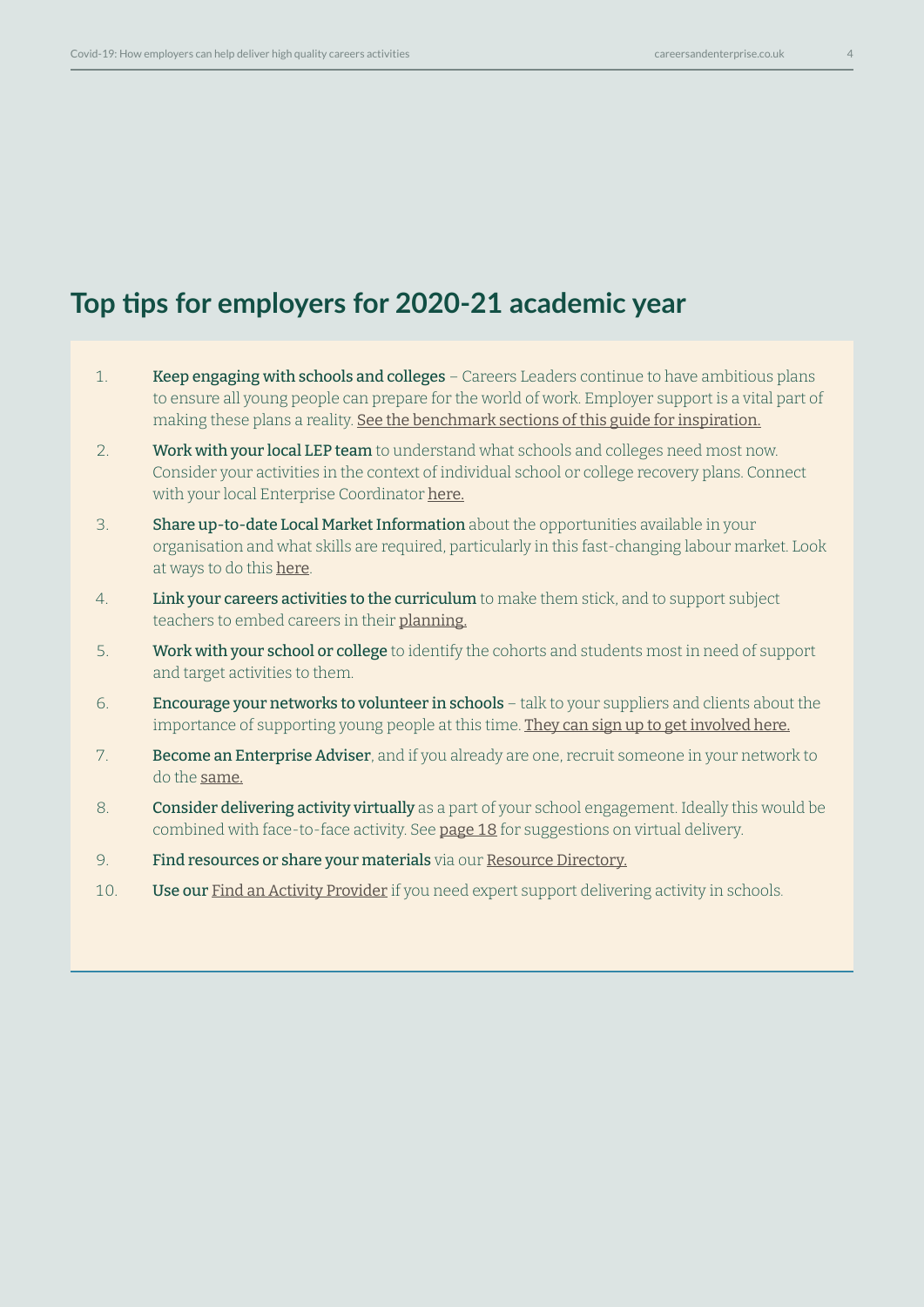## **Top tips for employers for 2020-21 academic year**

- 1. Keep engaging with schools and colleges Careers Leaders continue to have ambitious plans to ensure all young people can prepare for the world of work. Employer support is a vital part of making these plans a reality. [See the benchmark sections of this guide for inspiration.](https://resources.careersandenterprise.co.uk/browse-category/gatsby-benchmarks)
- 2. Work with your local LEP team to understand what schools and colleges need most now. Consider your activities in the context of individual school or college recovery plans. Connect with your local Enterprise Coordinator [here](https://www.careersandenterprise.co.uk/employers-volunteers).
- 3. Share up-to-date Local Market Information about the opportunities available in your organisation and what skills are required, particularly in this fast-changing labour market. Look at ways to do this [here](https://resources.careersandenterprise.co.uk/or-browse-resources/gatsby-benchmarks/gatsby-benchmark-2).
- 4. **Link your careers activities to the curriculum** to make them stick, and to support subject teachers to embed careers in their [planning.](https://resources.careersandenterprise.co.uk/or-browse-resources/gatsby-benchmarks/gatsby-benchmark-4)
- 5. Work with your school or college to identify the cohorts and students most in need of support and target activities to them.
- 6. **Encourage your networks to volunteer in schools** talk to your suppliers and clients about the importance of supporting young people at this time. [They can sign up to get involved here](https://www.careersandenterprise.co.uk/give-an-hour).
- 7. Become an Enterprise Adviser, and if you already are one, recruit someone in your network to do the [same.](https://www.careersandenterprise.co.uk/employers-volunteers/join-enterprise-adviser-network)
- 8. Consider delivering activity virtually as a part of your school engagement. Ideally this would be combined with face-to-face activity. See [page 18](#page-17-0) for suggestions on virtual delivery.
- 9. Find resources or share your materials via our [Resource Directory](https://resources.careersandenterprise.co.uk/).
- 10. **Use our [Find an Activity Provider](https://find-activity-provider.careersandenterprise.co.uk/search)** if you need expert support delivering activity in schools.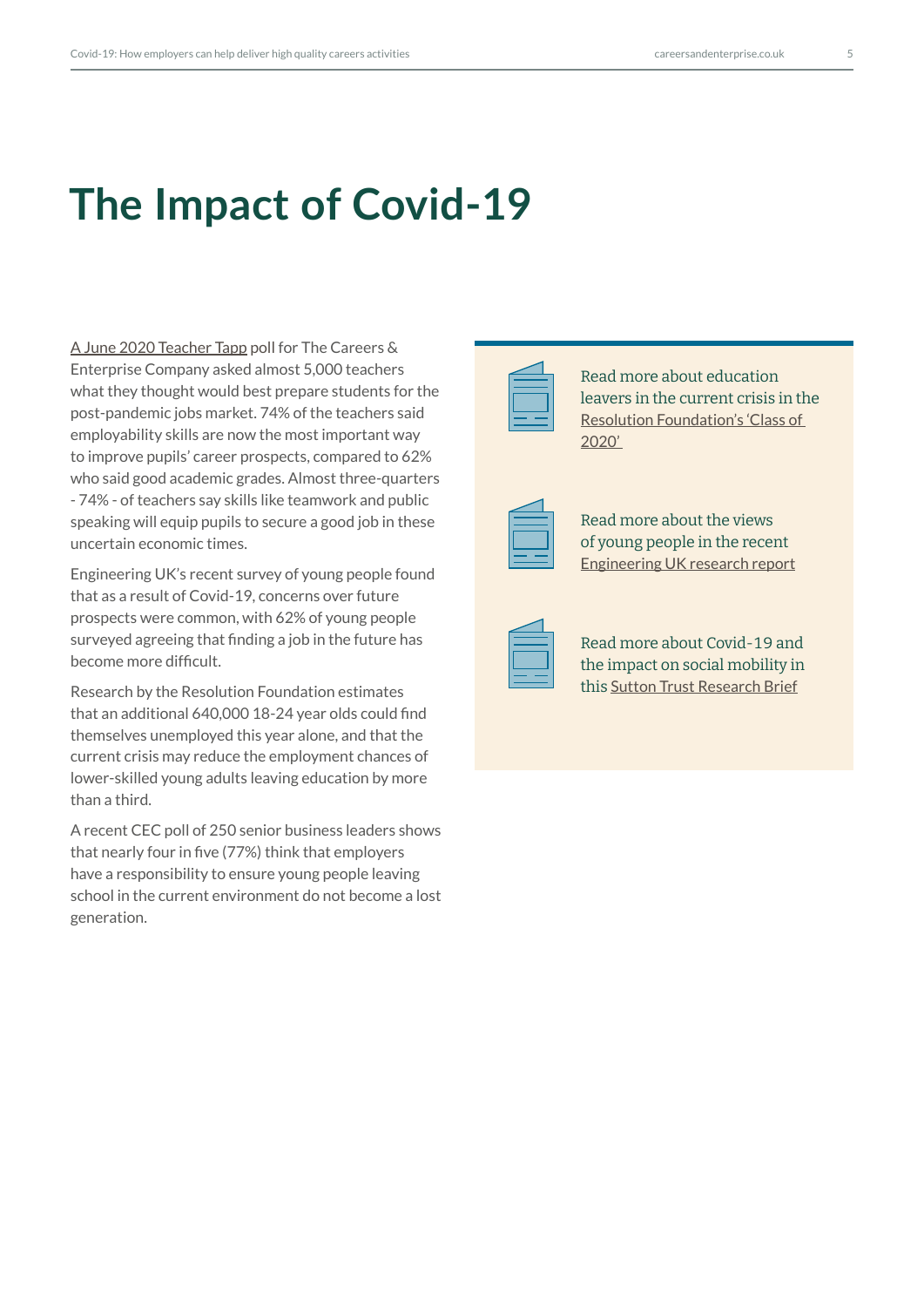## **The Impact of Covid-19**

[A June 2020 Teacher Tapp poll](https://www.careersandenterprise.co.uk/news/workplace-skills-now-more-important-exam-results-post-covid-jobs-market-say-teachers) for The Careers & Enterprise Company asked almost 5,000 teachers what they thought would best prepare students for the post-pandemic jobs market. 74% of the teachers said employability skills are now the most important way to improve pupils' career prospects, compared to 62% who said good academic grades. Almost three-quarters - 74% - of teachers say skills like teamwork and public speaking will equip pupils to secure a good job in these uncertain economic times.

Engineering UK's recent survey of young people found that as a result of Covid-19, concerns over future prospects were common, with 62% of young people surveyed agreeing that finding a job in the future has become more difficult.

Research by the Resolution Foundation estimates that an additional 640,000 18-24 year olds could find themselves unemployed this year alone, and that the current crisis may reduce the employment chances of lower-skilled young adults leaving education by more than a third.

A recent CEC poll of 250 senior business leaders shows that nearly four in five (77%) think that employers have a responsibility to ensure young people leaving school in the current environment do not become a lost generation.



Read more about education leavers in the current crisis in the [Resolution Foundation's 'Class of](https://www.resolutionfoundation.org/publications/class-of-2020/)  [2020'](https://www.resolutionfoundation.org/publications/class-of-2020/) 

| ۰ |  |
|---|--|
|   |  |
|   |  |
|   |  |
|   |  |
|   |  |

Read more about the views of young people in the recent [Engineering UK research report](https://www.engineeringuk.com/research/briefings/young-people-and-covid-19)



Read more about Covid-19 and the impact on social mobility in this [Sutton Trust Research Brief](https://www.suttontrust.com/wp-content/uploads/2020/07/Access-to-the-Workplace-Impact-Brief.pdf)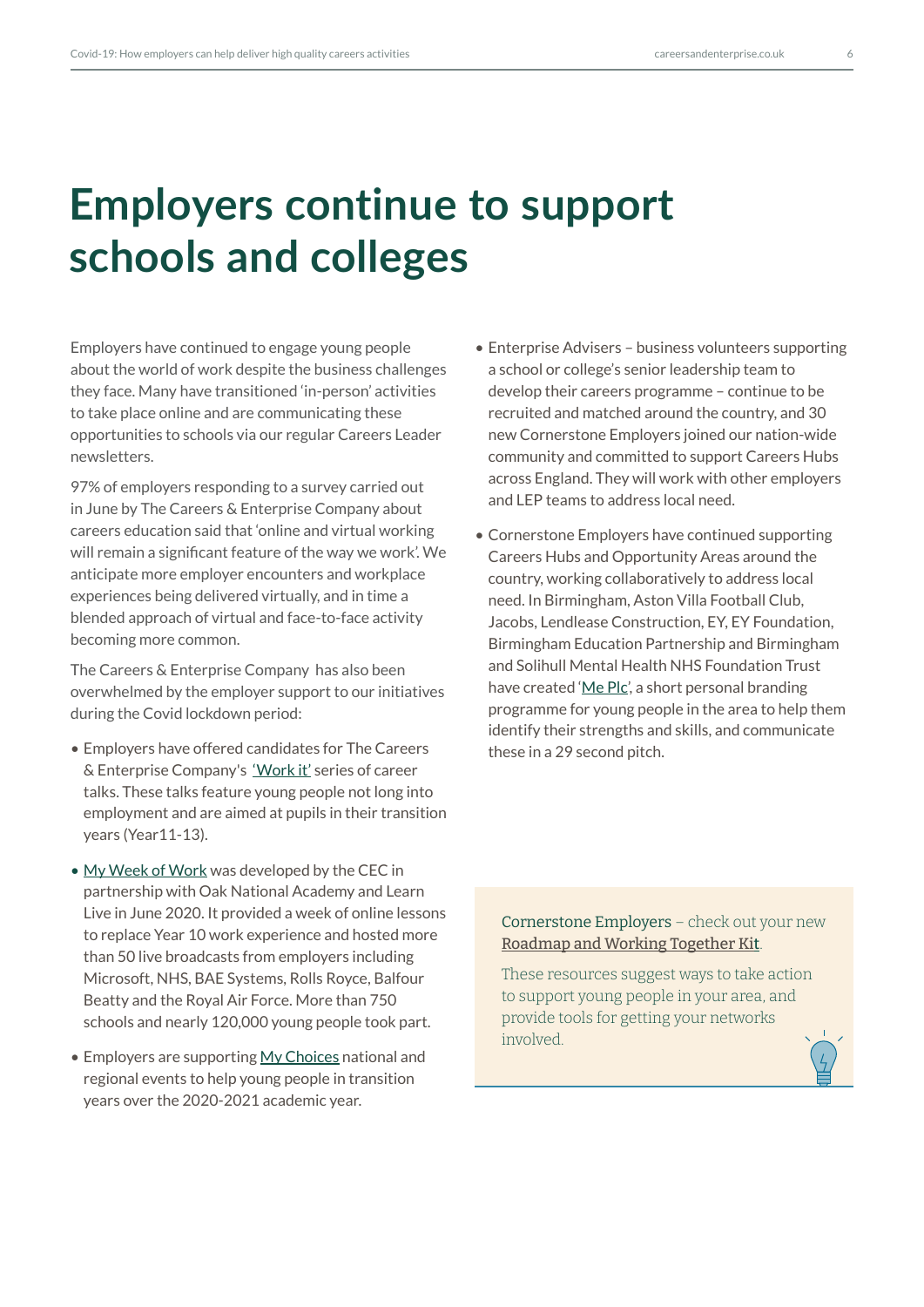# **Employers continue to support schools and colleges**

Employers have continued to engage young people about the world of work despite the business challenges they face. Many have transitioned 'in-person' activities to take place online and are communicating these opportunities to schools via our regular Careers Leader newsletters.

97% of employers responding to a survey carried out in June by The Careers & Enterprise Company about careers education said that 'online and virtual working will remain a significant feature of the way we work'. We anticipate more employer encounters and workplace experiences being delivered virtually, and in time a blended approach of virtual and face-to-face activity becoming more common.

The Careers & Enterprise Company has also been overwhelmed by the employer support to our initiatives during the Covid lockdown period:

- Employers have offered candidates for The Careers & Enterprise Company's ['Work it'](https://www.youtube.com/watch?v=dT-juNybM0E&list=PLok8K4I1AJqZ2TAdJjKAO5dS0Xm12jIBT) series of career talks. These talks feature young people not long into employment and are aimed at pupils in their transition years (Year11-13).
- [My Week of Work](https://resources.careersandenterprise.co.uk/my-week-work) was developed by the CEC in partnership with Oak National Academy and Learn Live in June 2020. It provided a week of online lessons to replace Year 10 work experience and hosted more than 50 live broadcasts from employers including Microsoft, NHS, BAE Systems, Rolls Royce, Balfour Beatty and the Royal Air Force. More than 750 schools and nearly 120,000 young people took part.
- Employers are supporting [My Choices](https://www.careersandenterprise.co.uk/schools-colleges/my-choices-transition-resources) national and regional events to help young people in transition years over the 2020-2021 academic year.
- Enterprise Advisers business volunteers supporting a school or college's senior leadership team to develop their careers programme – continue to be recruited and matched around the country, and 30 new Cornerstone Employers joined our nation-wide community and committed to support Careers Hubs across England. They will work with other employers and LEP teams to address local need.
- Cornerstone Employers have continued supporting Careers Hubs and Opportunity Areas around the country, working collaboratively to address local need. In Birmingham, Aston Villa Football Club, Jacobs, Lendlease Construction, EY, EY Foundation, Birmingham Education Partnership and Birmingham and Solihull Mental Health NHS Foundation Trust have created '[Me Plc'](https://bep.education/wider-learning/careers-employability/me-plc/), a short personal branding programme for young people in the area to help them identify their strengths and skills, and communicate these in a 29 second pitch.

Cornerstone Employers – check out your new [Roadmap and Working Together Kit](https://www.careersandenterprise.co.uk/support-cornerstone-employers).

These resources suggest ways to take action to support young people in your area, and provide tools for getting your networks involved.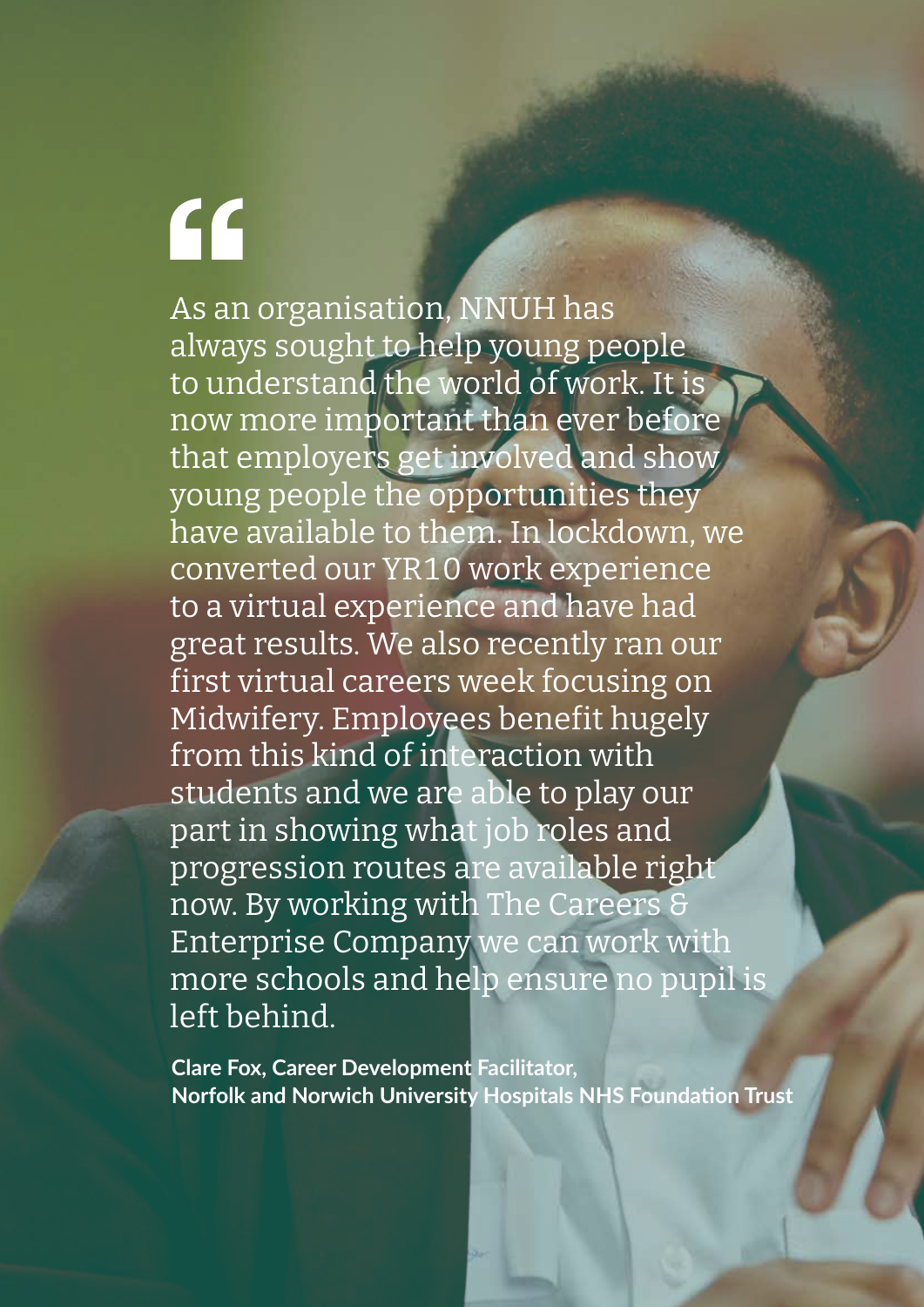# $\mathsf{G}$

As an organisation, NNUH has always sought to help young people to understand the world of work. It is now more important than ever before that employers get involved and show young people the opportunities they have available to them. In lockdown, we converted our YR10 work experience to a virtual experience and have had great results. We also recently ran our first virtual careers week focusing on Midwifery. Employees benefit hugely from this kind of interaction with students and we are able to play our part in showing what job roles and progression routes are available right now. By working with The Careers & Enterprise Company we can work with more schools and help ensure no pupil is left behind.

**Clare Fox, Career Development Facilitator, Norfolk and Norwich University Hospitals NHS Foundation Trust**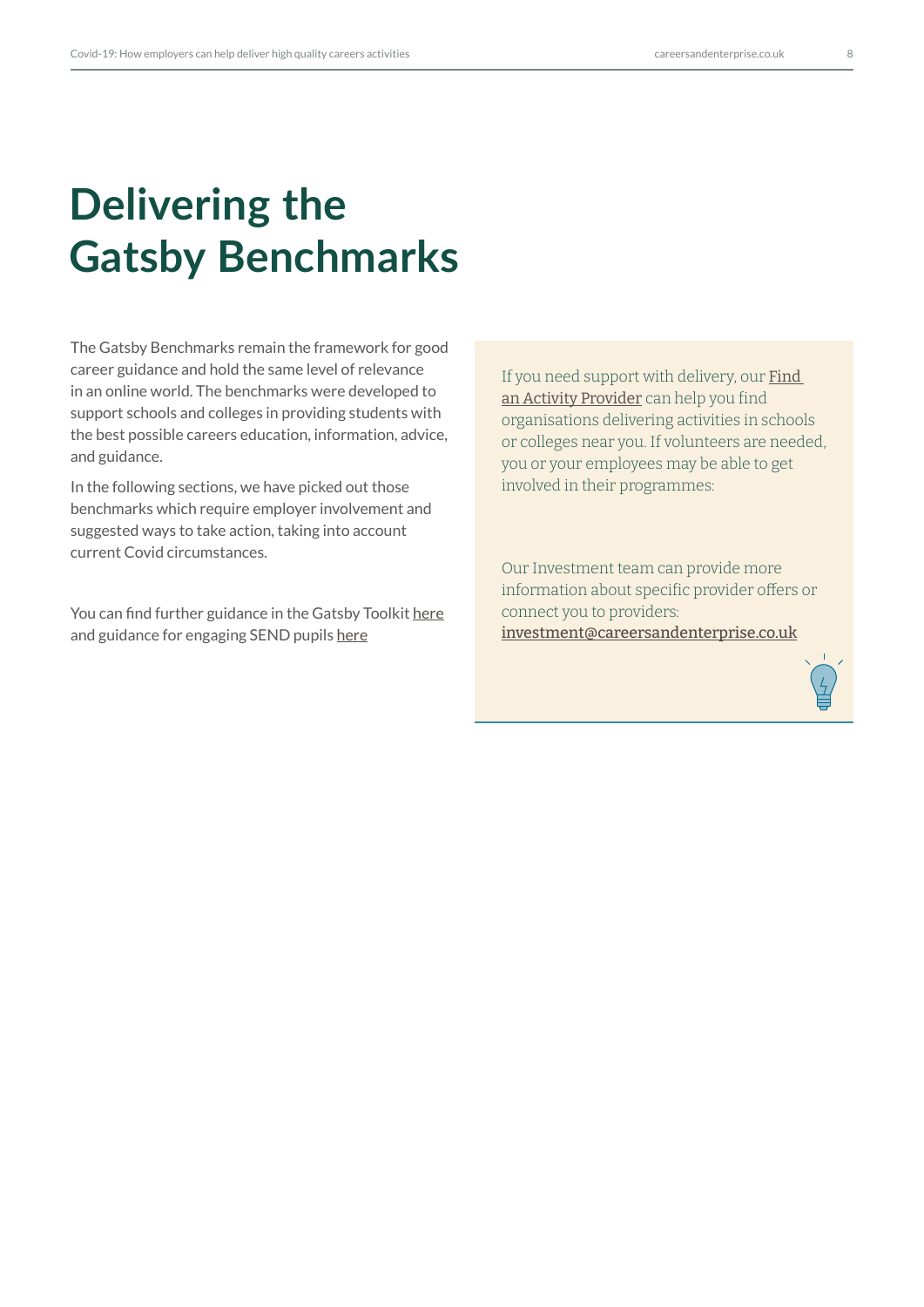# **Delivering the Gatsby Benchmarks**

The Gatsby Benchmarks remain the framework for good career guidance and hold the same level of relevance in an online world. The benchmarks were developed to support schools and colleges in providing students with the best possible careers education, information, advice, and guidance.

In the following sections, we have picked out those benchmarks which require employer involvement and suggested ways to take action, taking into account current Covid circumstances.

You can find further guidance in the Gatsby Toolkit [here](https://resources.careersandenterprise.co.uk/resources/gatsby-benchmark-toolkit-schools) and guidance for engaging SEND pupils [here](https://resources.careersandenterprise.co.uk/resources/gatsby-benchmark-toolkit-send)

If you need support with delivery, our Find [an Activity Provider](https://find-activity-provider.careersandenterprise.co.uk/search) can help you find organisations delivering activities in schools or colleges near you. If volunteers are needed, you or your employees may be able to get involved in their programmes:

Our Investment team can provide more information about specific provider offers or connect you to providers: [investment@careersandenterprise.co.uk](mailto:investment%40careersandenterprise.co.uk?subject=)

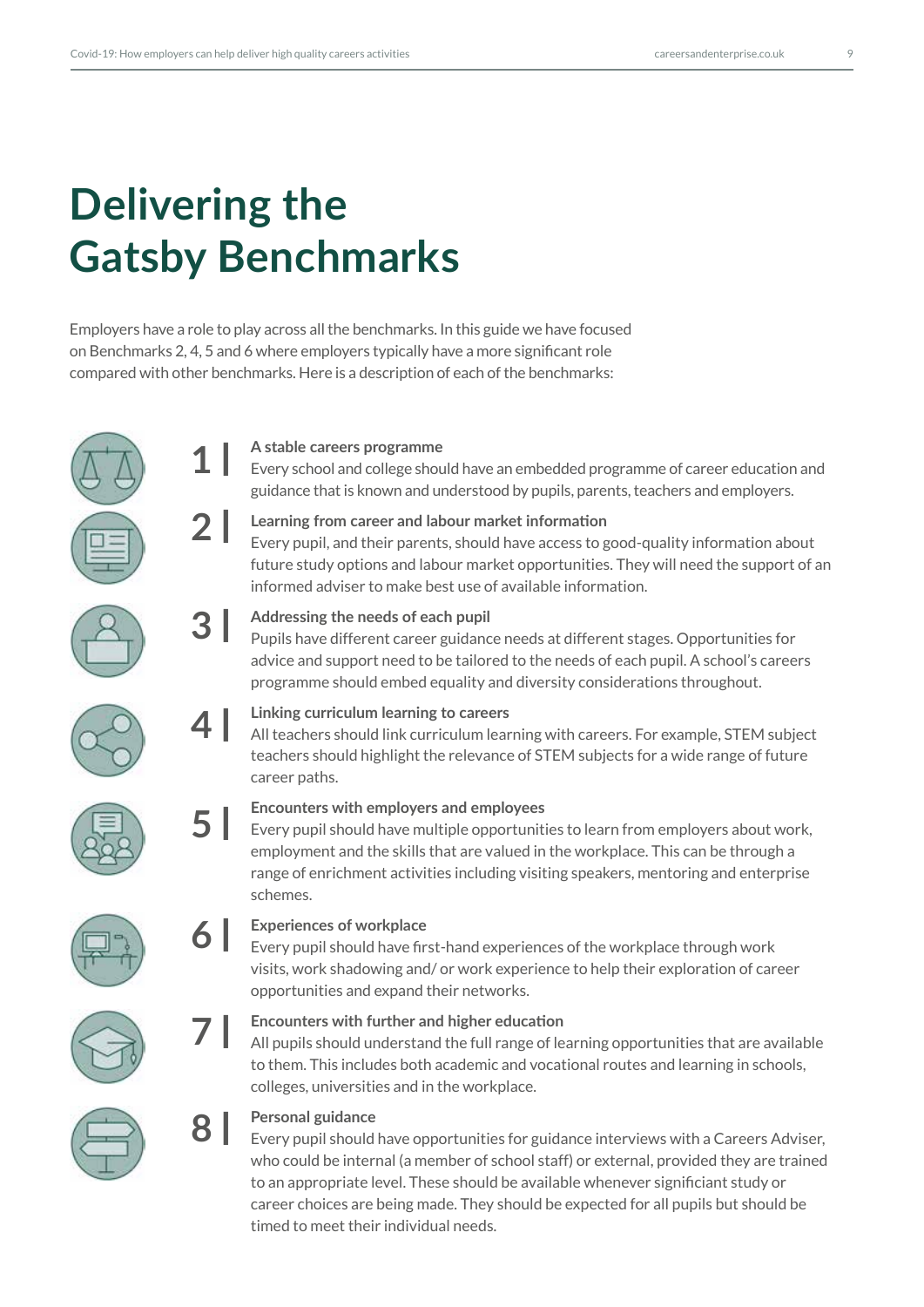# **Delivering the Gatsby Benchmarks**

Employers have a role to play across all the benchmarks. In this guide we have focused on Benchmarks 2, 4, 5 and 6 where employers typically have a more significant role compared with other benchmarks. Here is a description of each of the benchmarks:

## **A stable careers programme**

Every school and college should have an embedded programme of career education and guidance that is known and understood by pupils, parents, teachers and employers.

# **2 l**

**1 l**

**3 l**

**4 l**

**5 l**

**7 l**

**8 l**

## **Learning from career and labour market information**

Every pupil, and their parents, should have access to good-quality information about future study options and labour market opportunities. They will need the support of an informed adviser to make best use of available information.



## **Addressing the needs of each pupil**

Pupils have different career guidance needs at different stages. Opportunities for advice and support need to be tailored to the needs of each pupil. A school's careers programme should embed equality and diversity considerations throughout.



## **Linking curriculum learning to careers**

All teachers should link curriculum learning with careers. For example, STEM subject teachers should highlight the relevance of STEM subjects for a wide range of future career paths.



## **Encounters with employers and employees**

Every pupil should have multiple opportunities to learn from employers about work, employment and the skills that are valued in the workplace. This can be through a range of enrichment activities including visiting speakers, mentoring and enterprise schemes.

#### **Experiences of workplace 6 l**

Every pupil should have first-hand experiences of the workplace through work visits, work shadowing and/ or work experience to help their exploration of career opportunities and expand their networks.

## **Encounters with further and higher education**

All pupils should understand the full range of learning opportunities that are available to them. This includes both academic and vocational routes and learning in schools, colleges, universities and in the workplace.



## **Personal guidance**

Every pupil should have opportunities for guidance interviews with a Careers Adviser, who could be internal (a member of school staff) or external, provided they are trained to an appropriate level. These should be available whenever significiant study or career choices are being made. They should be expected for all pupils but should be timed to meet their individual needs.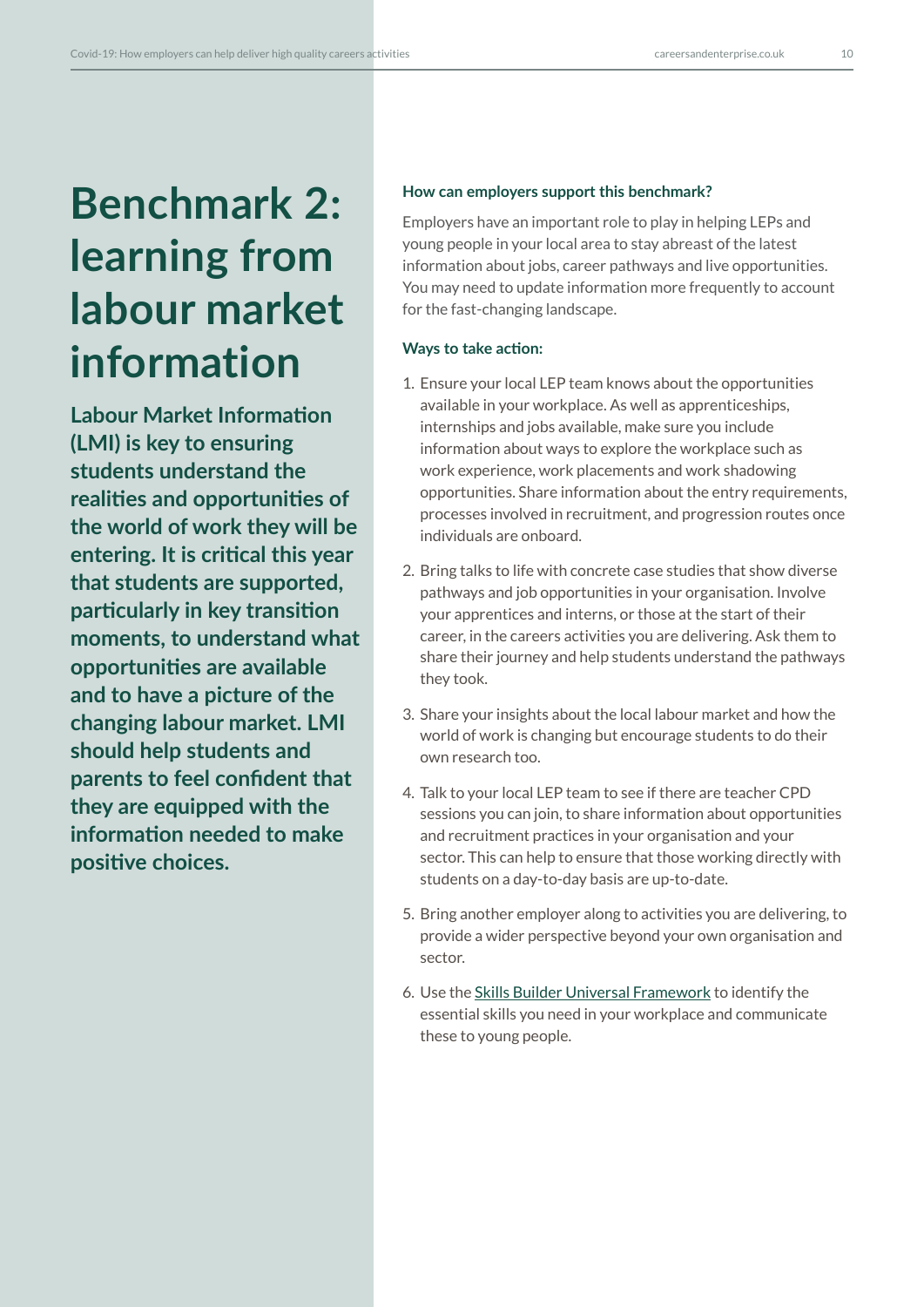# **Benchmark 2: learning from labour market information**

**Labour Market Information (LMI) is key to ensuring students understand the realities and opportunities of the world of work they will be entering. It is critical this year that students are supported, particularly in key transition moments, to understand what opportunities are available and to have a picture of the changing labour market. LMI should help students and parents to feel confident that they are equipped with the information needed to make positive choices.**

### **How can employers support this benchmark?**

Employers have an important role to play in helping LEPs and young people in your local area to stay abreast of the latest information about jobs, career pathways and live opportunities. You may need to update information more frequently to account for the fast-changing landscape.

## **Ways to take action:**

- 1. Ensure your local LEP team knows about the opportunities available in your workplace. As well as apprenticeships, internships and jobs available, make sure you include information about ways to explore the workplace such as work experience, work placements and work shadowing opportunities. Share information about the entry requirements, processes involved in recruitment, and progression routes once individuals are onboard.
- 2. Bring talks to life with concrete case studies that show diverse pathways and job opportunities in your organisation. Involve your apprentices and interns, or those at the start of their career, in the careers activities you are delivering. Ask them to share their journey and help students understand the pathways they took.
- 3. Share your insights about the local labour market and how the world of work is changing but encourage students to do their own research too.
- 4. Talk to your local LEP team to see if there are teacher CPD sessions you can join, to share information about opportunities and recruitment practices in your organisation and your sector. This can help to ensure that those working directly with students on a day-to-day basis are up-to-date.
- 5. Bring another employer along to activities you are delivering, to provide a wider perspective beyond your own organisation and sector.
- 6. Use the [Skills Builder Universal Framework](https://www.skillsbuilder.org/) to identify the essential skills you need in your workplace and communicate these to young people.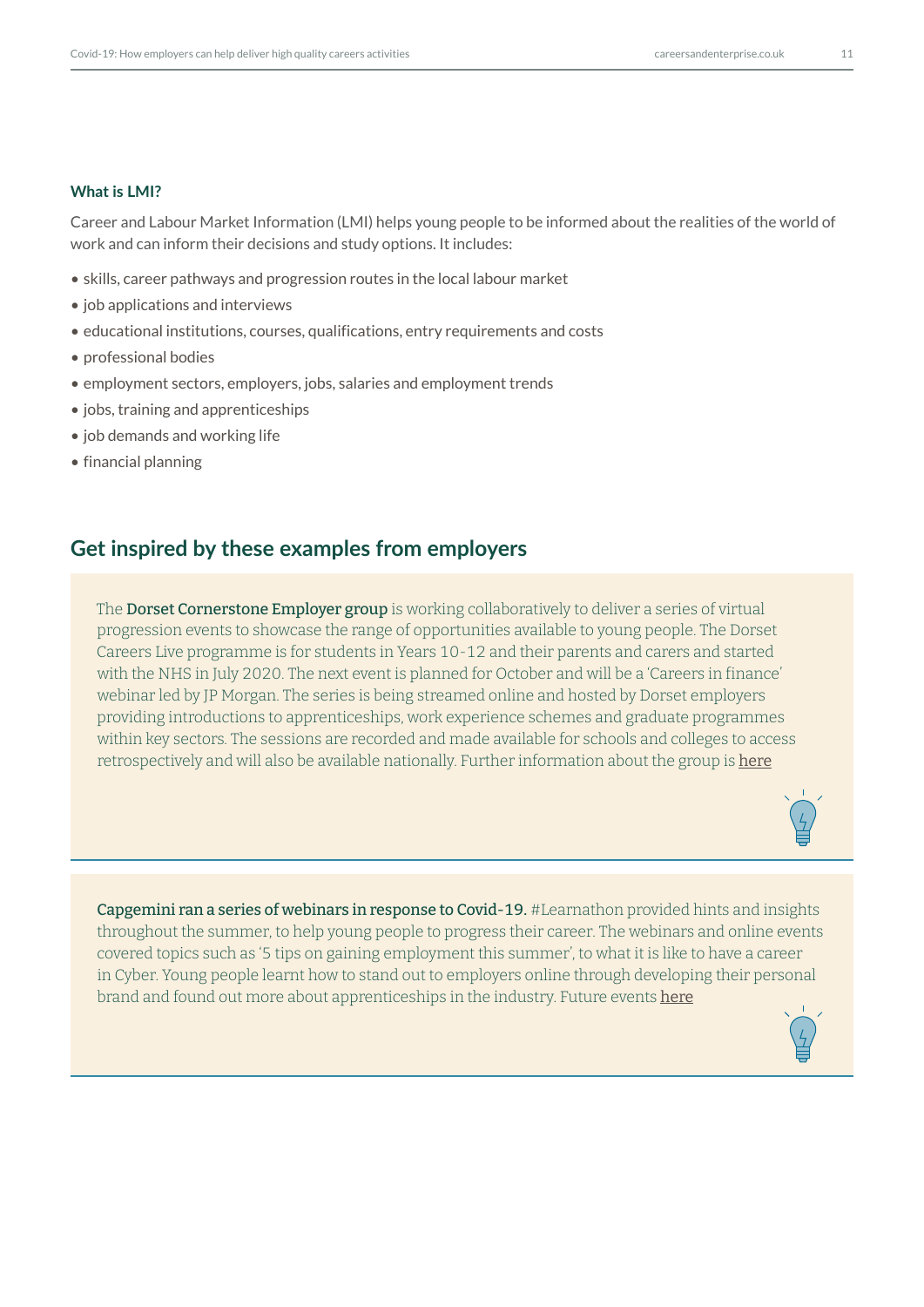### **What is LMI?**

Career and Labour Market Information (LMI) helps young people to be informed about the realities of the world of work and can inform their decisions and study options. It includes:

- skills, career pathways and progression routes in the local labour market
- job applications and interviews
- educational institutions, courses, qualifications, entry requirements and costs
- professional bodies
- employment sectors, employers, jobs, salaries and employment trends
- jobs, training and apprenticeships
- job demands and working life
- financial planning

## **Get inspired by these examples from employers**

The **Dorset Cornerstone Employer group** is working collaboratively to deliver a series of virtual progression events to showcase the range of opportunities available to young people. The Dorset Careers Live programme is for students in Years 10-12 and their parents and carers and started with the NHS in July 2020. The next event is planned for October and will be a 'Careers in finance' webinar led by JP Morgan. The series is being streamed online and hosted by Dorset employers providing introductions to apprenticeships, work experience schemes and graduate programmes within key sectors. The sessions are recorded and made available for schools and colleges to access retrospectively and will also be available nationally. Further information about the group is [here](https://www.dorsetlep.co.uk/careers-hub)



Capgemini ran a series of webinars in response to Covid-19. #Learnathon provided hints and insights throughout the summer, to help young people to progress their career. The webinars and online events covered topics such as '5 tips on gaining employment this summer', to what it is like to have a career in Cyber. Young people learnt how to stand out to employers online through developing their personal brand and found out more about apprenticeships in the industry. Future events [here](https://www.capgemini.com/gb-en/events/learnathon/)

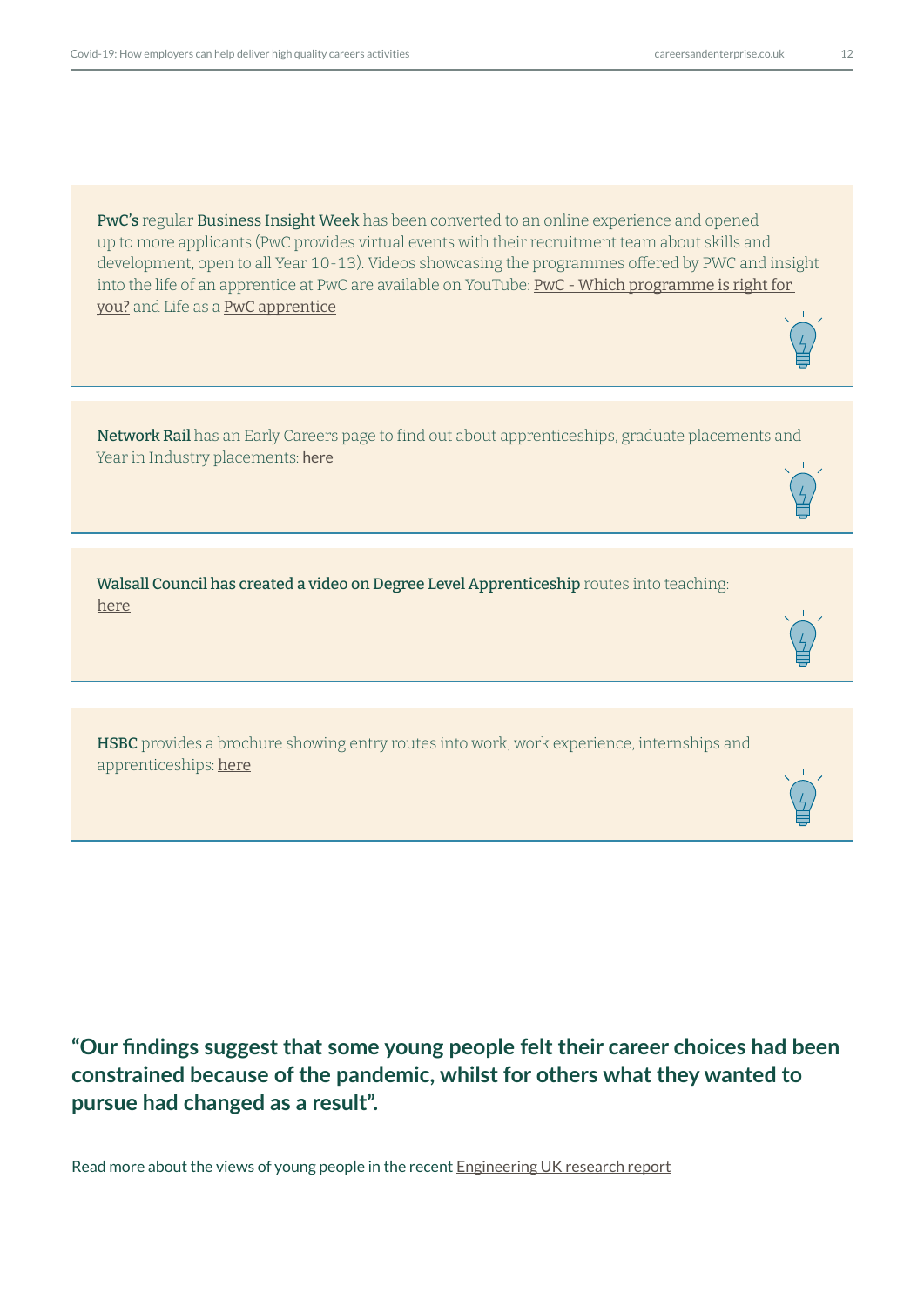PwC's regular **[Business Insight Wee](https://www.pwc.co.uk/careers/student-careers/school-careers.html)k** has been converted to an online experience and opened up to more applicants (PwC provides virtual events with their recruitment team about skills and development, open to all Year 10-13). Videos showcasing the programmes offered by PWC and insight into the life of an apprentice at PwC are available on YouTube: PwC - Which programme is right for [you?](https://www.youtube.com/watch?v=YZiYoKHuMxU) and Life as a [PwC apprentice](https://www.youtube.com/watch?v=_Kos8rq3qZw)

Network Rail has an Early Careers page to find out about apprenticeships, graduate placements and Year in Industry placements: [here](https://www.networkrail.co.uk/careers/early-careers)

Walsall Council has created a video on Degree Level Apprenticeship routes into teaching: [he](https://www.youtube.com/watch?v=AYoVMyqsjF8)re

HSBC provides a brochure showing entry routes into work, work experience, internships and apprenticeships: [he](https://mcusercontent.com/5edc7f4f08ea35cadfe6465b7/files/2a41e847-56bb-4320-b60a-ee692c4c829c/HSBC_External_brochure_PDF.pdf)re

**"Our findings suggest that some young people felt their career choices had been constrained because of the pandemic, whilst for others what they wanted to pursue had changed as a result".**

Read more about the views of young people in the recent [Engineering UK research report](https://www.engineeringuk.com/research/briefings/young-people-and-covid-19)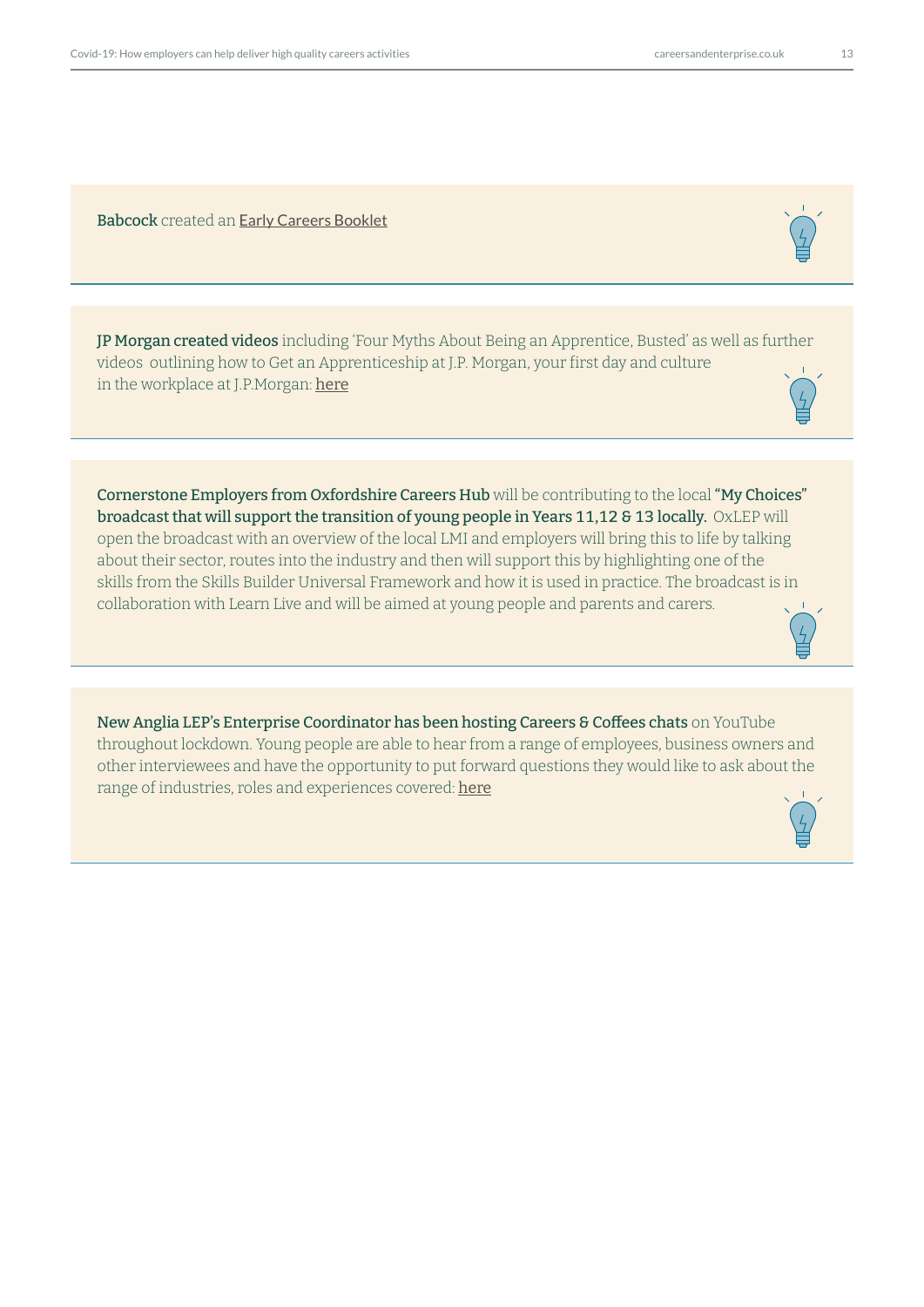Babcock created an [Early Careers Booklet](https://mcusercontent.com/5edc7f4f08ea35cadfe6465b7/files/af76ac3e-f157-43a3-9e0f-8ee76d54d819/20190677_Babcock_Early_Careers_Booklet_DIGITAL.pdf)

JP Morgan created videos including 'Four Myths About Being an Apprentice, Busted' as well as further videos outlining how to Get an Apprenticeship at J.P. Morgan, your first day and culture in t[he](https://www.youtube.com/watch?v=yKYR73yJRnY) workplace at J.P.Morgan: here

Cornerstone Employers from Oxfordshire Careers Hub will be contributing to the local "My Choices" broadcast that will support the transition of young people in Years 11,12 & 13 locally. OxLEP will open the broadcast with an overview of the local LMI and employers will bring this to life by talking about their sector, routes into the industry and then will support this by highlighting one of the skills from the Skills Builder Universal Framework and how it is used in practice. The broadcast is in collaboration with Learn Live and will be aimed at young people and parents and carers.

New Anglia LEP's Enterprise Coordinator has been hosting Careers & Coffees chats on YouTube throughout lockdown. Young people are able to hear from a range of employees, business owners and other interviewees and have the opportunity to put forward questions they would like to ask about the range of industries, roles and experiences covered: [he](https://www.youtube.com/watch?v=UGxpROQDJm8 )re

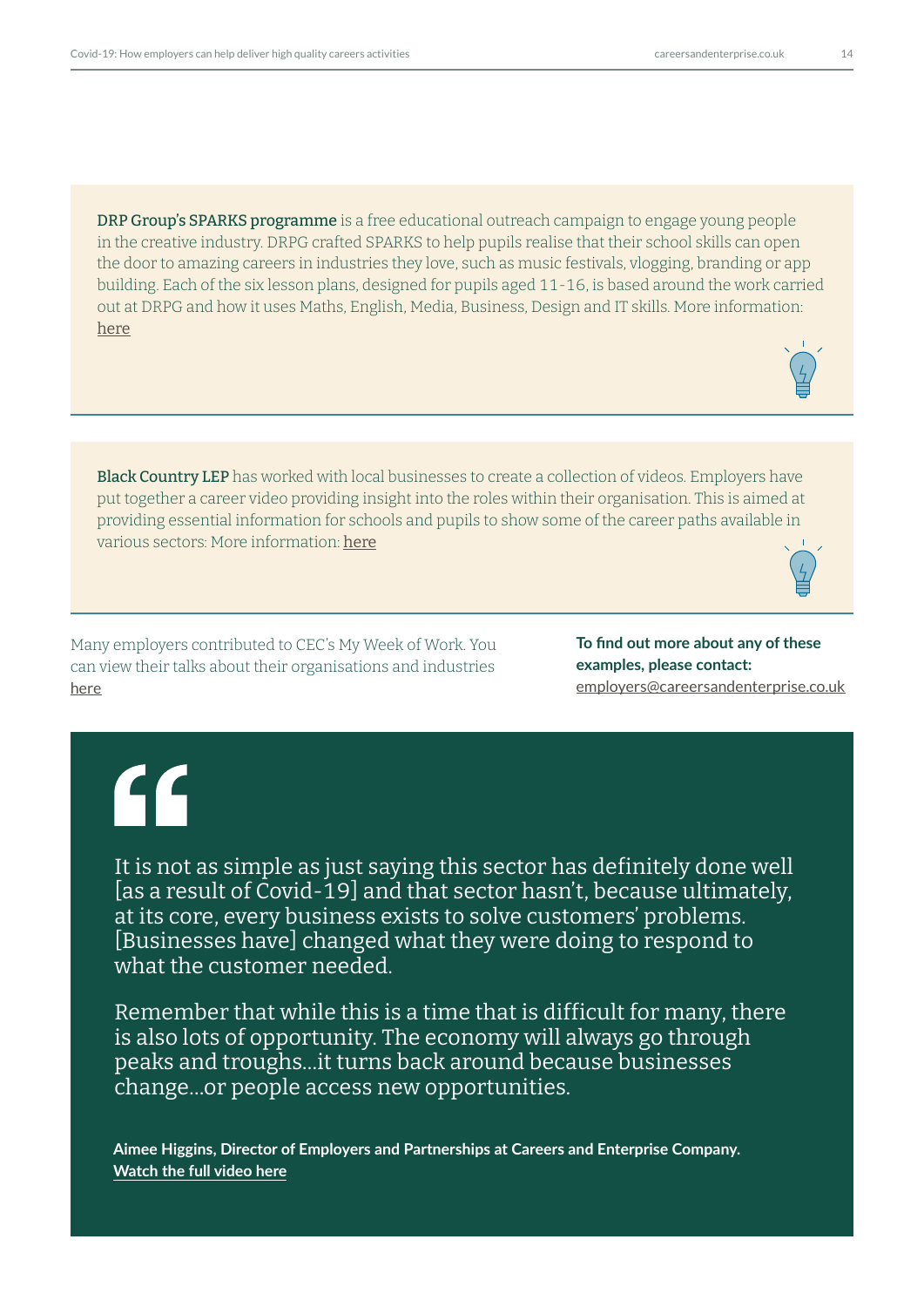DRP Group's SPARKS programme is a free educational outreach campaign to engage young people in the creative industry. DRPG crafted SPARKS to help pupils realise that their school skills can open the door to amazing careers in industries they love, such as music festivals, vlogging, branding or app building. Each of the six lesson plans, designed for pupils aged 11-16, is based around the work carried out at DRPG and how it uses Maths, English, Media, Business, Design and IT skills. More information: [here](https://www.drpgroup.com/en/news/drpg-launch-sparks-programme-to-support-home-learning)

Black Country LEP has worked with local businesses to create a collection of videos. Employers have put together a career video providing insight into the roles within their organisation. This is aimed at providing essential information for schools and pupils to show some of the career paths available in various sectors: More information: [he](https://www.blackcountryskillsfactory.co.uk/schools/career-employers-videos/)re

Many employers contributed to CEC's My Week of Work. You can view their talks about their organisations and industries [here](https://learnliveuk.com/my-week-of-work/)

**To find out more about any of these examples, please contact:**  [employers@careersandenterprise.co.uk](mailto:employers%40careersandenterprise.co.uk?subject=)

# $f$

It is not as simple as just saying this sector has definitely done well [as a result of Covid-19] and that sector hasn't, because ultimately, at its core, every business exists to solve customers' problems. [Businesses have] changed what they were doing to respond to what the customer needed.

Remember that while this is a time that is difficult for many, there is also lots of opportunity. The economy will always go through peaks and troughs…it turns back around because businesses change…or people access new opportunities.

**Aimee Higgins, Director of Employers and Partnerships at Careers and Enterprise Company. [Watch the full video here](https://www.youtube.com/watch?v=fWbleSwPjvU&feature=youtu.be)**

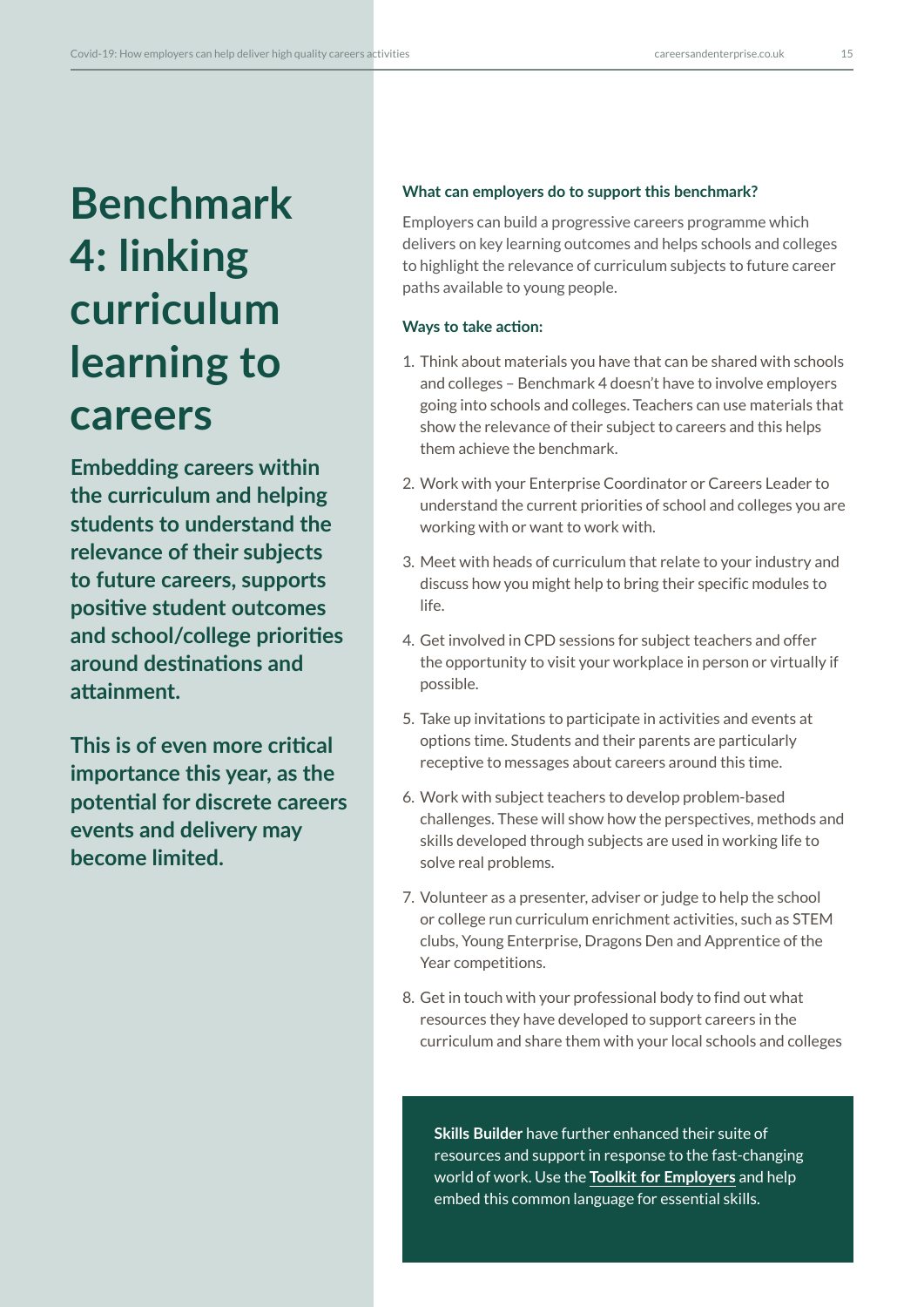# **Benchmark 4: linking curriculum learning to careers**

**Embedding careers within the curriculum and helping students to understand the relevance of their subjects to future careers, supports positive student outcomes and school/college priorities around destinations and attainment.** 

**This is of even more critical importance this year, as the potential for discrete careers events and delivery may become limited.** 

#### **What can employers do to support this benchmark?**

Employers can build a progressive careers programme which delivers on key learning outcomes and helps schools and colleges to highlight the relevance of curriculum subjects to future career paths available to young people.

### **Ways to take action:**

- 1. Think about materials you have that can be shared with schools and colleges – Benchmark 4 doesn't have to involve employers going into schools and colleges. Teachers can use materials that show the relevance of their subject to careers and this helps them achieve the benchmark.
- 2. Work with your Enterprise Coordinator or Careers Leader to understand the current priorities of school and colleges you are working with or want to work with.
- 3. Meet with heads of curriculum that relate to your industry and discuss how you might help to bring their specific modules to life.
- 4. Get involved in CPD sessions for subject teachers and offer the opportunity to visit your workplace in person or virtually if possible.
- 5. Take up invitations to participate in activities and events at options time. Students and their parents are particularly receptive to messages about careers around this time.
- 6. Work with subject teachers to develop problem-based challenges. These will show how the perspectives, methods and skills developed through subjects are used in working life to solve real problems.
- 7. Volunteer as a presenter, adviser or judge to help the school or college run curriculum enrichment activities, such as STEM clubs, Young Enterprise, Dragons Den and Apprentice of the Year competitions.
- 8. Get in touch with your professional body to find out what resources they have developed to support careers in the curriculum and share them with your local schools and colleges

**Skills Builder** have further enhanced their suite of resources and support in response to the fast-changing world of work. Use the **[Toolkit for Employers](https://www.skillsbuilder.org/)** and help embed this common language for essential skills.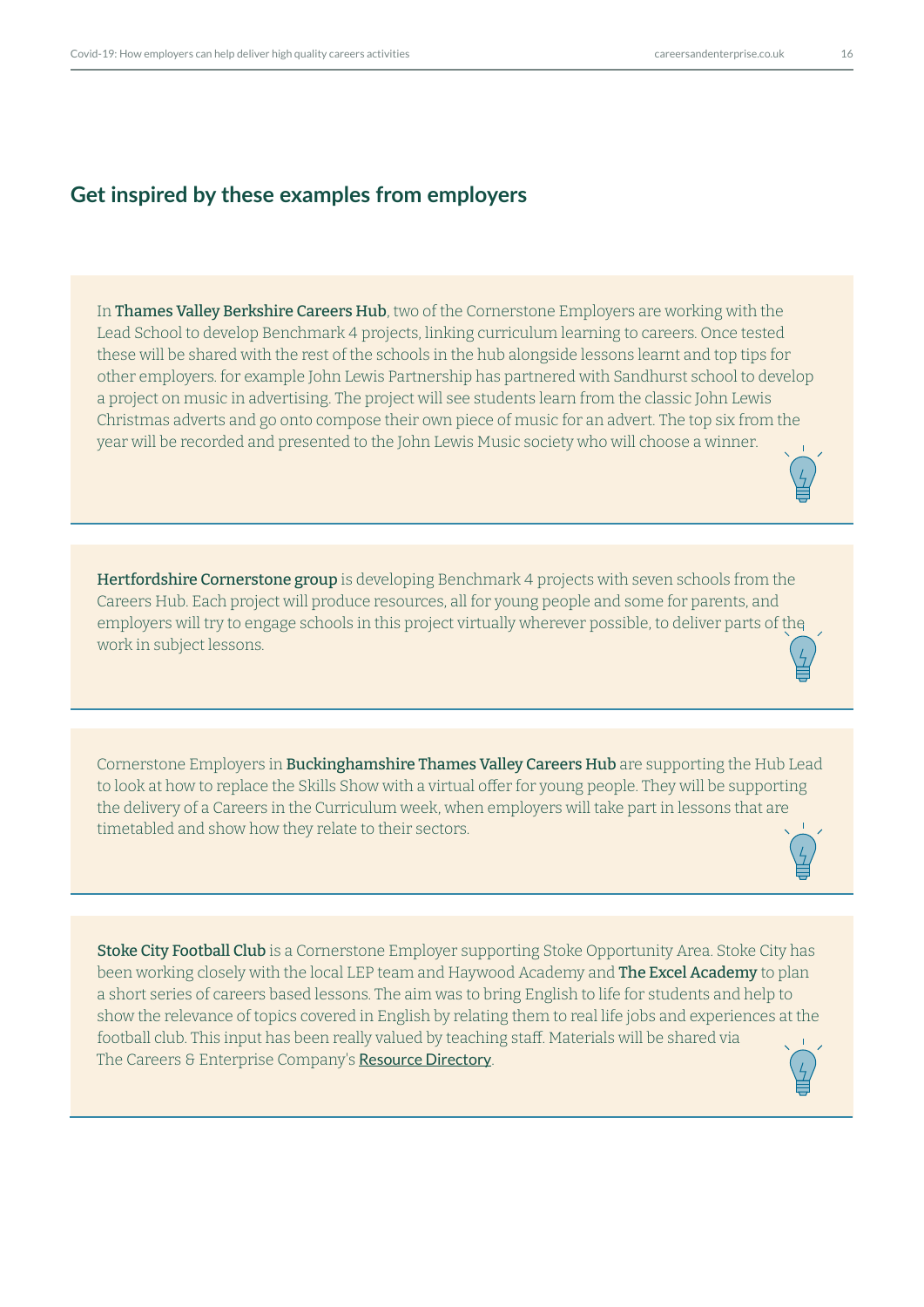## **Get inspired by these examples from employers**

In Thames Valley Berkshire Careers Hub, two of the Cornerstone Employers are working with the Lead School to develop Benchmark 4 projects, linking curriculum learning to careers. Once tested these will be shared with the rest of the schools in the hub alongside lessons learnt and top tips for other employers. for example John Lewis Partnership has partnered with Sandhurst school to develop a project on music in advertising. The project will see students learn from the classic John Lewis Christmas adverts and go onto compose their own piece of music for an advert. The top six from the year will be recorded and presented to the John Lewis Music society who will choose a winner.

Hertfordshire Cornerstone group is developing Benchmark 4 projects with seven schools from the Careers Hub. Each project will produce resources, all for young people and some for parents, and employers will try to engage schools in this project virtually wherever possible, to deliver parts of the work in subject lessons.

Cornerstone Employers in Buckinghamshire Thames Valley Careers Hub are supporting the Hub Lead to look at how to replace the Skills Show with a virtual offer for young people. They will be supporting the delivery of a Careers in the Curriculum week, when employers will take part in lessons that are timetabled and show how they relate to their sectors.

Stoke City Football Club is a Cornerstone Employer supporting Stoke Opportunity Area. Stoke City has been working closely with the local LEP team and Haywood Academy and The Excel Academy to plan a short series of careers based lessons. The aim was to bring English to life for students and help to show the relevance of topics covered in English by relating them to real life jobs and experiences at the football club. This input has been really valued by teaching staff. Materials will be shared via The Careers & Enterprise Company's [Resource Directory](https://resources.careersandenterprise.co.uk/).

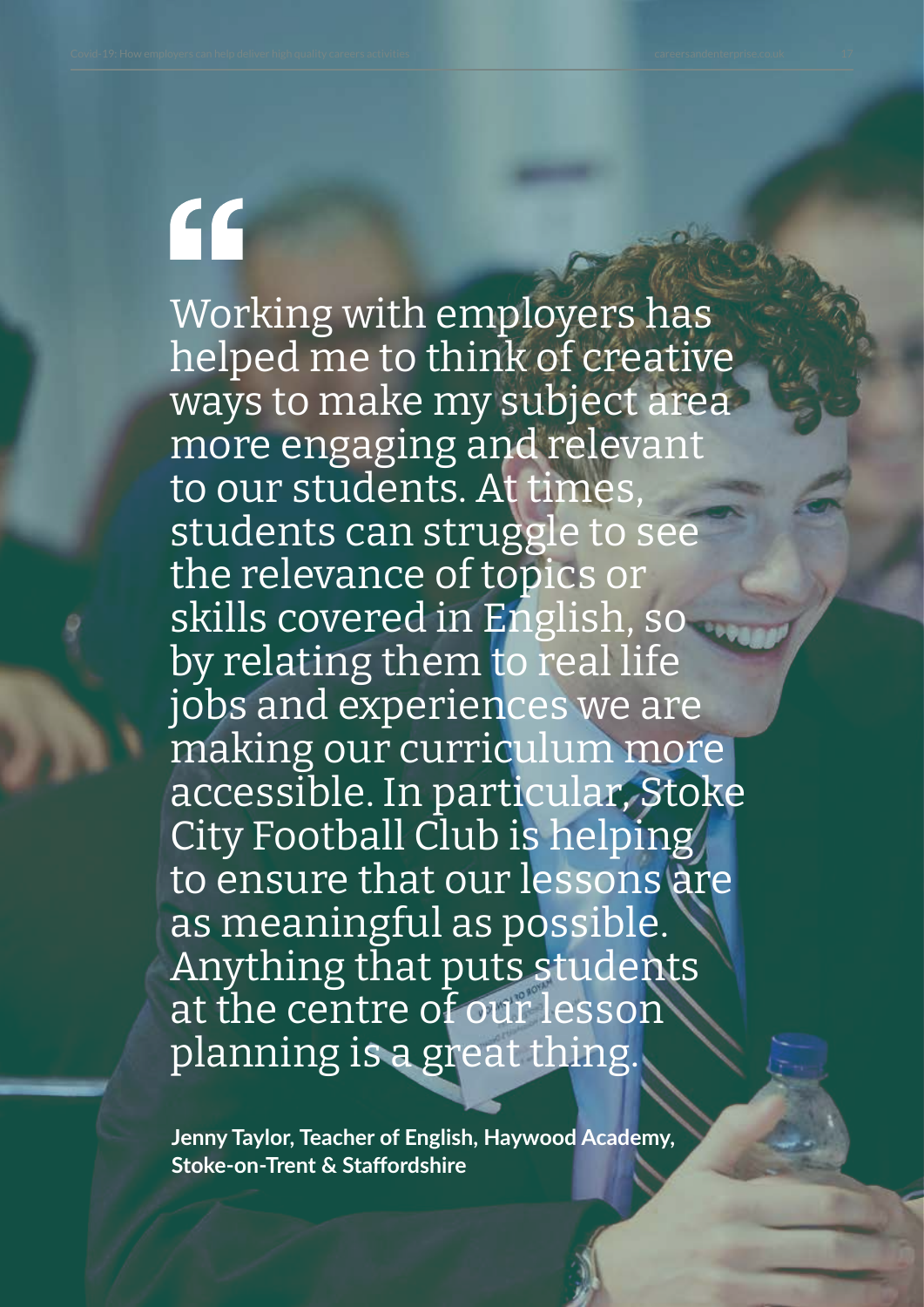# "

Working with employers has helped me to think of creative ways to make my subject area more engaging and relevant to our students. At times, students can struggle to see the relevance of topics or skills covered in English, so by relating them to real life jobs and experiences we are making our curriculum more accessible. In particular, Stoke City Football Club is helping to ensure that our lessons are as meaningful as possible. Anything that puts students at the centre of our lesson planning is a great thing.

**Jenny Taylor, Teacher of English, Haywood Academy, Stoke-on-Trent & Staffordshire**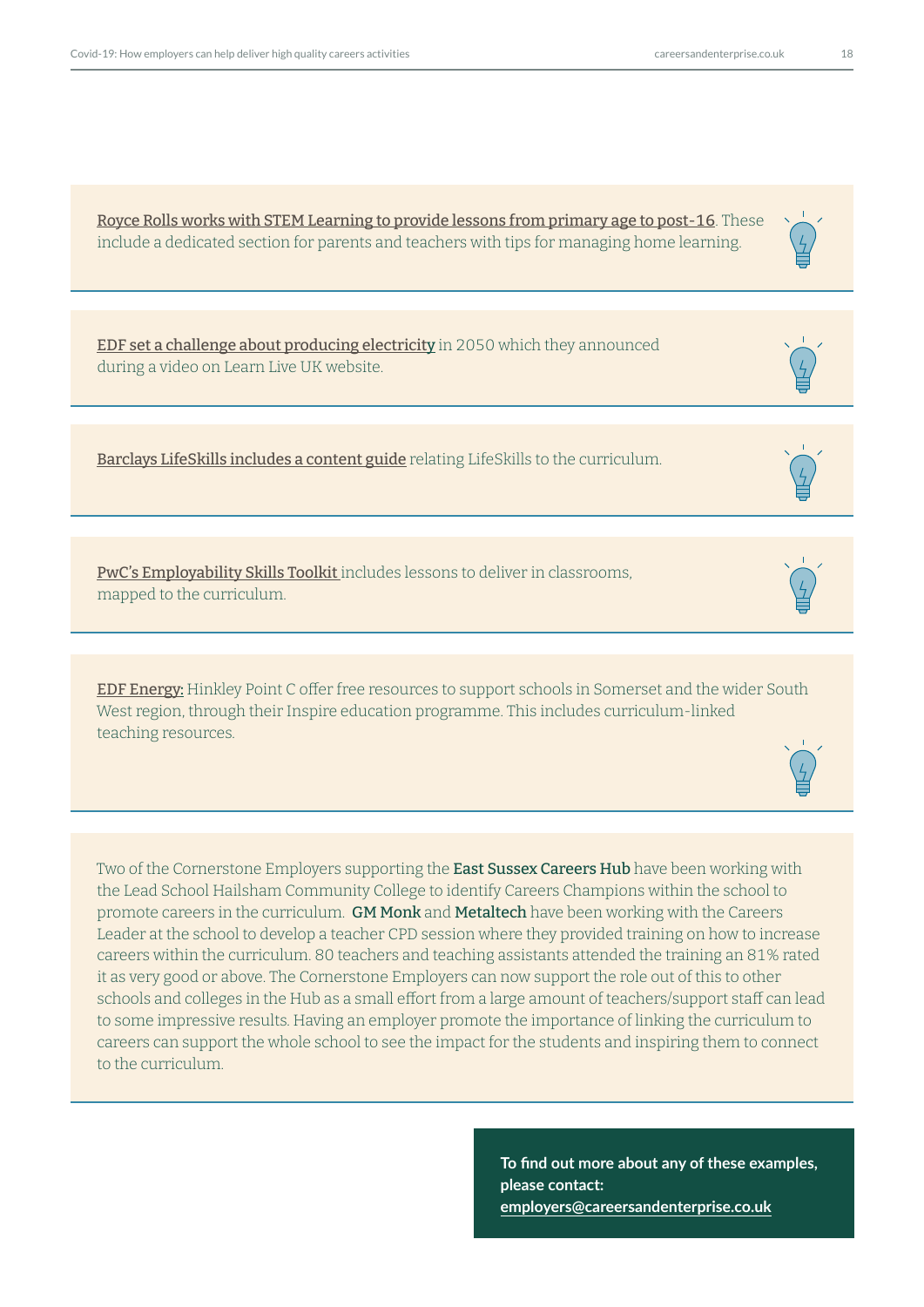<span id="page-17-0"></span>[Royce Rolls works with STEM Learning to provide lessons from primary age to post-16](https://www.stem.org.uk/home-learning). These include a dedicated section for parents and teachers with tips for managing home learning.

[EDF set a challenge about producing electricit](https://learnliveuk.com/the-edf-challenge/)y in 2050 which they announced during a video on Learn Live UK website.

[Barclays LifeSkills includes a content guide](https://barclayslifeskills.com/media/2405/content-guide-2019.pdf) relating LifeSkills to the curriculum.

[PwC's Employability Skills Toolkit](https://www.pwc.co.uk/who-we-are/our-purpose/empowered-people-communities/social-mobility/employability-skills-toolkit.html) includes lessons to deliver in classrooms, mapped to the curriculum.

[EDF Energy](https://www.edfenergy.com/energy/nuclear-new-build-projects/hinkley-point-c): Hinkley Point C offer free resources to support schools in Somerset and the wider South West region, through their Inspire education programme. This includes curriculum-linked teaching resources.

Two of the Cornerstone Employers supporting the East Sussex Careers Hub have been working with the Lead School Hailsham Community College to identify Careers Champions within the school to promote careers in the curriculum. GM Monk and Metaltech have been working with the Careers Leader at the school to develop a teacher CPD session where they provided training on how to increase careers within the curriculum. 80 teachers and teaching assistants attended the training an 81% rated it as very good or above. The Cornerstone Employers can now support the role out of this to other schools and colleges in the Hub as a small effort from a large amount of teachers/support staff can lead to some impressive results. Having an employer promote the importance of linking the curriculum to careers can support the whole school to see the impact for the students and inspiring them to connect to the curriculum.

> **To find out more about any of these examples, please contact: employers@careersandenterprise.co.uk**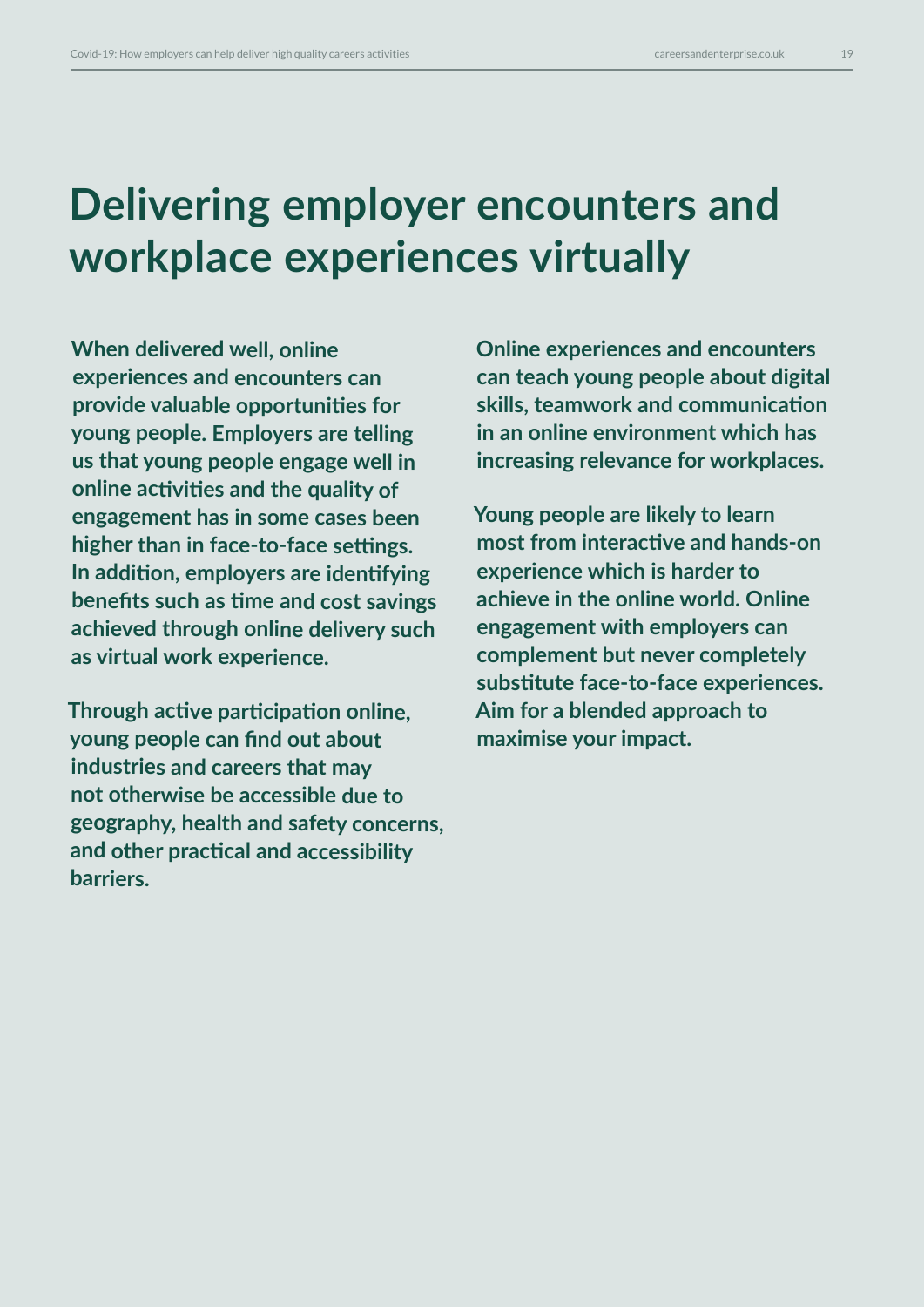## **Delivering employer encounters and workplace experiences virtually**

**When delivered well, online experiences and encounters can provide valuable opportunities for young people. Employers are telling us that young people engage well in online activities and the quality of engagement has in some cases been higher than in face-to-face settings. In addition, employers are identifying benefits such as time and cost savings achieved through online delivery such as virtual work experience.** 

**Through active participation online, young people can find out about industries and careers that may not otherwise be accessible due to geography, health and safety concerns, and other practical and accessibility barriers.** 

**Online experiences and encounters can teach young people about digital skills, teamwork and communication in an online environment which has increasing relevance for workplaces.** 

**Young people are likely to learn most from interactive and hands-on experience which is harder to achieve in the online world. Online engagement with employers can complement but never completely substitute face-to-face experiences. Aim for a blended approach to maximise your impact.**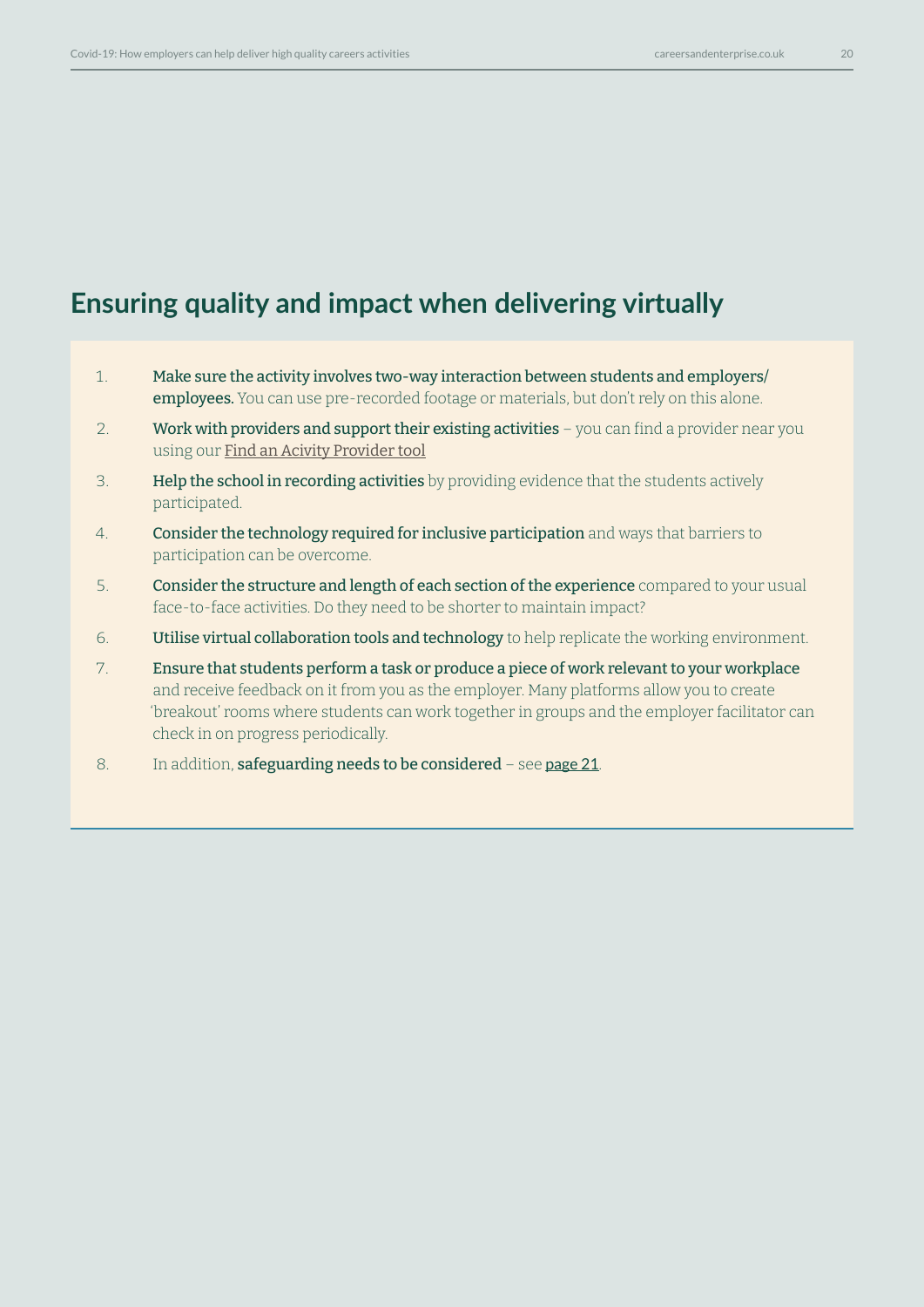## **Ensuring quality and impact when delivering virtually**

- 1. Make sure the activity involves two-way interaction between students and employers/ employees. You can use pre-recorded footage or materials, but don't rely on this alone.
- 2. Work with providers and support their existing activities you can find a provider near you using our [Find an Acivity Provider tool](https://find-activity-provider.careersandenterprise.co.uk/search)
- 3. Help the school in recording activities by providing evidence that the students actively participated.
- 4. **Consider the technology required for inclusive participation** and ways that barriers to participation can be overcome.
- 5. Consider the structure and length of each section of the experience compared to your usual face-to-face activities. Do they need to be shorter to maintain impact?
- 6. **Utilise virtual collaboration tools and technology** to help replicate the working environment.
- 7. Ensure that students perform a task or produce a piece of work relevant to your workplace and receive feedback on it from you as the employer. Many platforms allow you to create 'breakout' rooms where students can work together in groups and the employer facilitator can check in on progress periodically.
- 8. In addition, safeguarding needs to be considered see [page 21](#page-20-0).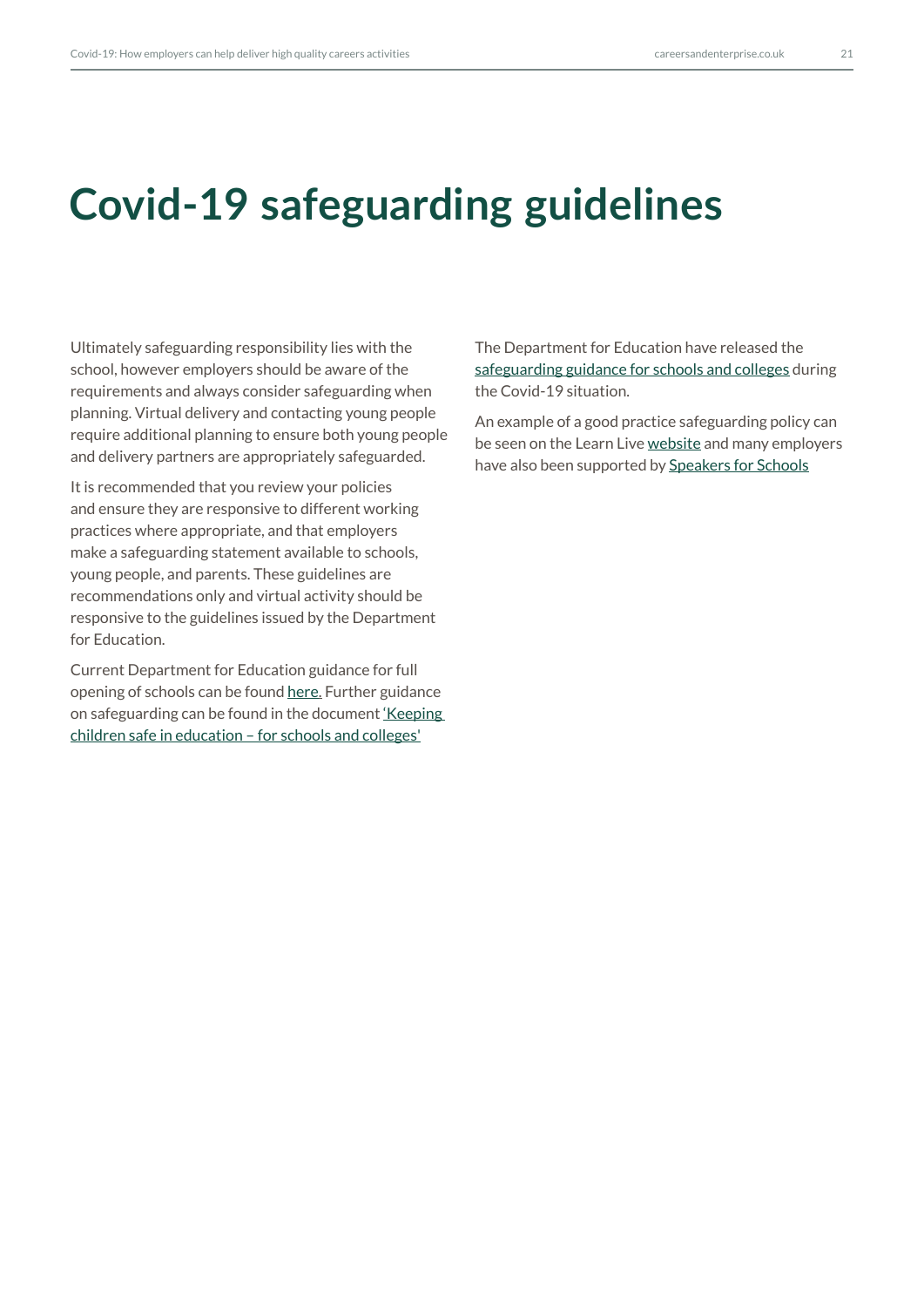## <span id="page-20-0"></span>**Covid-19 safeguarding guidelines**

Ultimately safeguarding responsibility lies with the school, however employers should be aware of the requirements and always consider safeguarding when planning. Virtual delivery and contacting young people require additional planning to ensure both young people and delivery partners are appropriately safeguarded.

It is recommended that you review your policies and ensure they are responsive to different working practices where appropriate, and that employers make a safeguarding statement available to schools, young people, and parents. These guidelines are recommendations only and virtual activity should be responsive to the guidelines issued by the Department for Education.

Current Department for Education guidance for full opening of schools can be found [here](https://www.gov.uk/government/publications/actions-for-schools-during-the-coronavirus-outbreak/guidance-for-full-opening-schools). Further guidance on safeguarding can be found in the document ['Keeping](https://www.gov.uk/government/publications/keeping-children-safe-in-education--2)  [children safe in education – for schools and colleges'](https://www.gov.uk/government/publications/keeping-children-safe-in-education--2)

The Department for Education have released the [safeguarding guidance for schools and colleges](https://www.gov.uk/government/publications/covid-19-safeguarding-in-schools-colleges-and-other-providers/coronavirus-covid-19-safeguarding-in-schools-colleges-and-other-providers) during the Covid-19 situation.

An example of a good practice safeguarding policy can be seen on the Learn Live [website](https://learnliveuk.com) and many employers have also been supported by [Speakers for Schools](https://www.speakersforschools.org)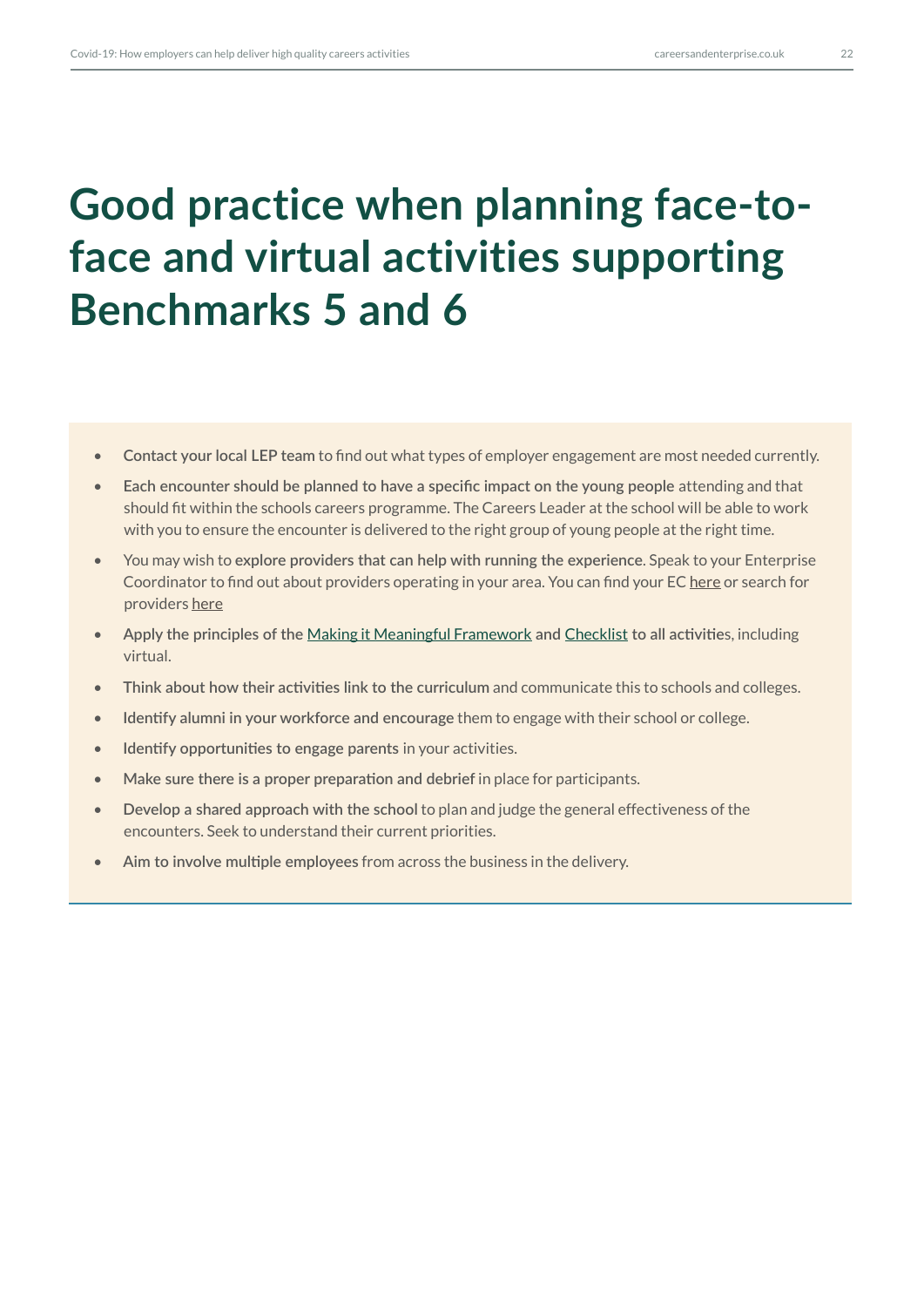# **Good practice when planning face-toface and virtual activities supporting Benchmarks 5 and 6**

- **Contact your local LEP team** to find out what types of employer engagement are most needed currently.
- Each encounter should be planned to have a specific impact on the young people attending and that should fit within the schools careers programme. The Careers Leader at the school will be able to work with you to ensure the encounter is delivered to the right group of young people at the right time.
- You may wish to **explore providers that can help with running the experience**. Speak to your Enterprise Coordinator to find out about providers operating in your area. You can find your EC [here](https://www.careersandenterprise.co.uk/employers-volunteers) or search for providers [here](https://find-activity-provider.careersandenterprise.co.uk/search)
- **Apply the principles of the** [Making it Meaningful Framework](https://www.careersandenterprise.co.uk/sites/default/files/uploaded/1207_-_meaningful_encounters_guide_digital_final.pdf) **and** [Checklist](https://www.careersandenterprise.co.uk/sites/default/files/uploaded/1207_-_meaningful_encounters_checklist_1.pdf) **to all activitie**s, including virtual.
- **Think about how their activities link to the curriculum** and communicate this to schools and colleges.
- **Identify alumni in your workforce and encourage** them to engage with their school or college.
- **Identify opportunities to engage parents** in your activities.
- **Make sure there is a proper preparation and debrief** in place for participants.
- **Develop a shared approach with the school** to plan and judge the general effectiveness of the encounters. Seek to understand their current priorities.
- **Aim to involve multiple employees** from across the business in the delivery.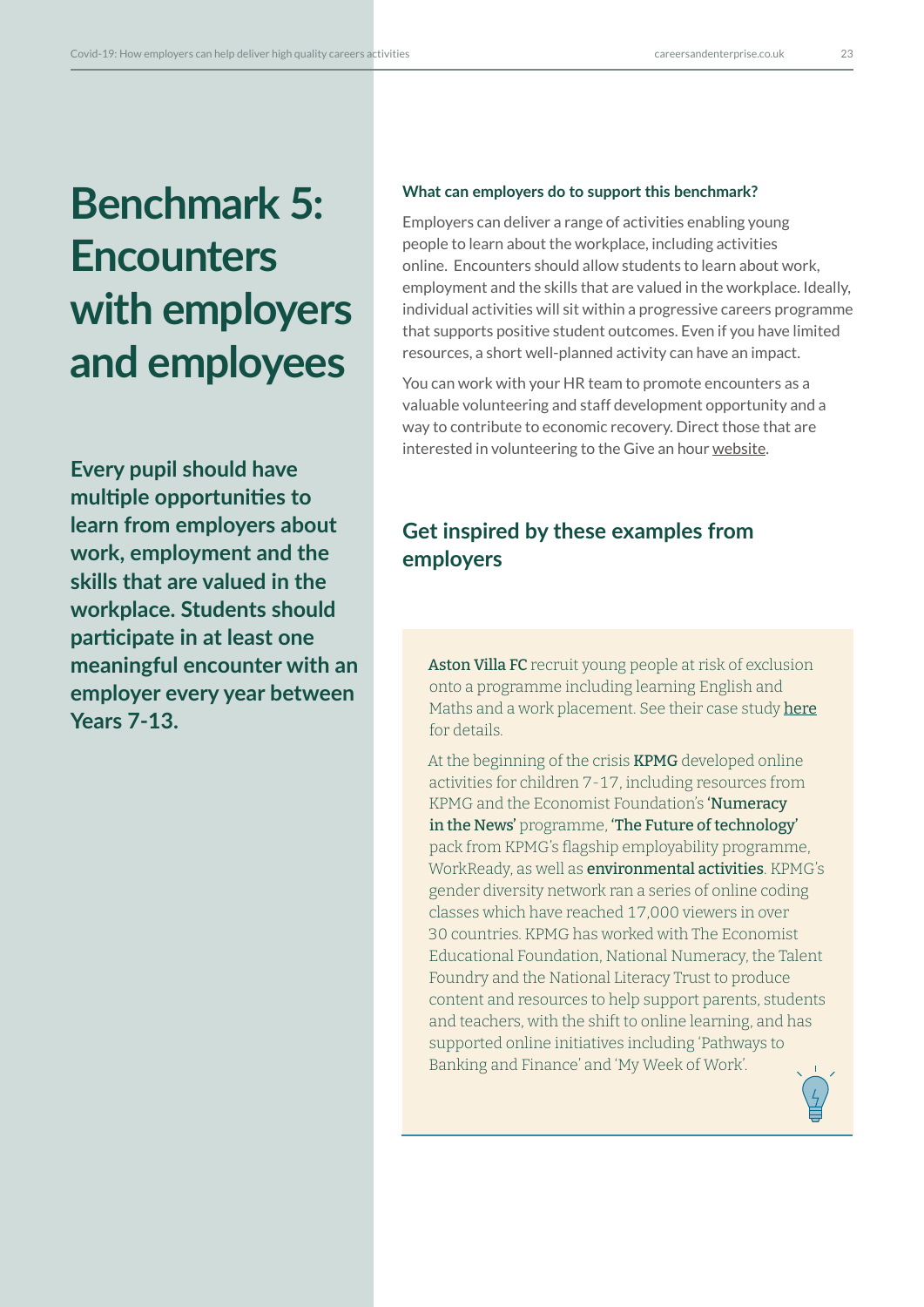# **Benchmark 5: Encounters with employers and employees**

**Every pupil should have multiple opportunities to learn from employers about work, employment and the skills that are valued in the workplace. Students should participate in at least one meaningful encounter with an employer every year between Years 7-13.**

#### **What can employers do to support this benchmark?**

Employers can deliver a range of activities enabling young people to learn about the workplace, including activities online. Encounters should allow students to learn about work, employment and the skills that are valued in the workplace. Ideally, individual activities will sit within a progressive careers programme that supports positive student outcomes. Even if you have limited resources, a short well-planned activity can have an impact.

You can work with your HR team to promote encounters as a valuable volunteering and staff development opportunity and a way to contribute to economic recovery. Direct those that are interested in volunteering to the Give an hour [website.](https://www.careersandenterprise.co.uk/give-an-hour)

## **Get inspired by these examples from employers**

Aston Villa FC recruit young people at risk of exclusion onto a programme including learning English and Maths and a work placement. See their case study [here](https://www.careersandenterprise.co.uk/sites/default/files/1328_aston_villa_cornerstone_casestudy_v3.pdf) for details.

At the beginning of the crisis **KPMG** developed online activities for children 7-17, including resources from KPMG and the Economist Foundation's 'Numeracy in the News' programme, 'The Future of technology' pack from KPMG's flagship employability programme, WorkReady, as well as environmental activities. KPMG's gender diversity network ran a series of online coding classes which have reached 17,000 viewers in over 30 countries. KPMG has worked with The Economist Educational Foundation, National Numeracy, the Talent Foundry and the National Literacy Trust to produce content and resources to help support parents, students and teachers, with the shift to online learning, and has supported online initiatives including 'Pathways to Banking and Finance' and 'My Week of Work'.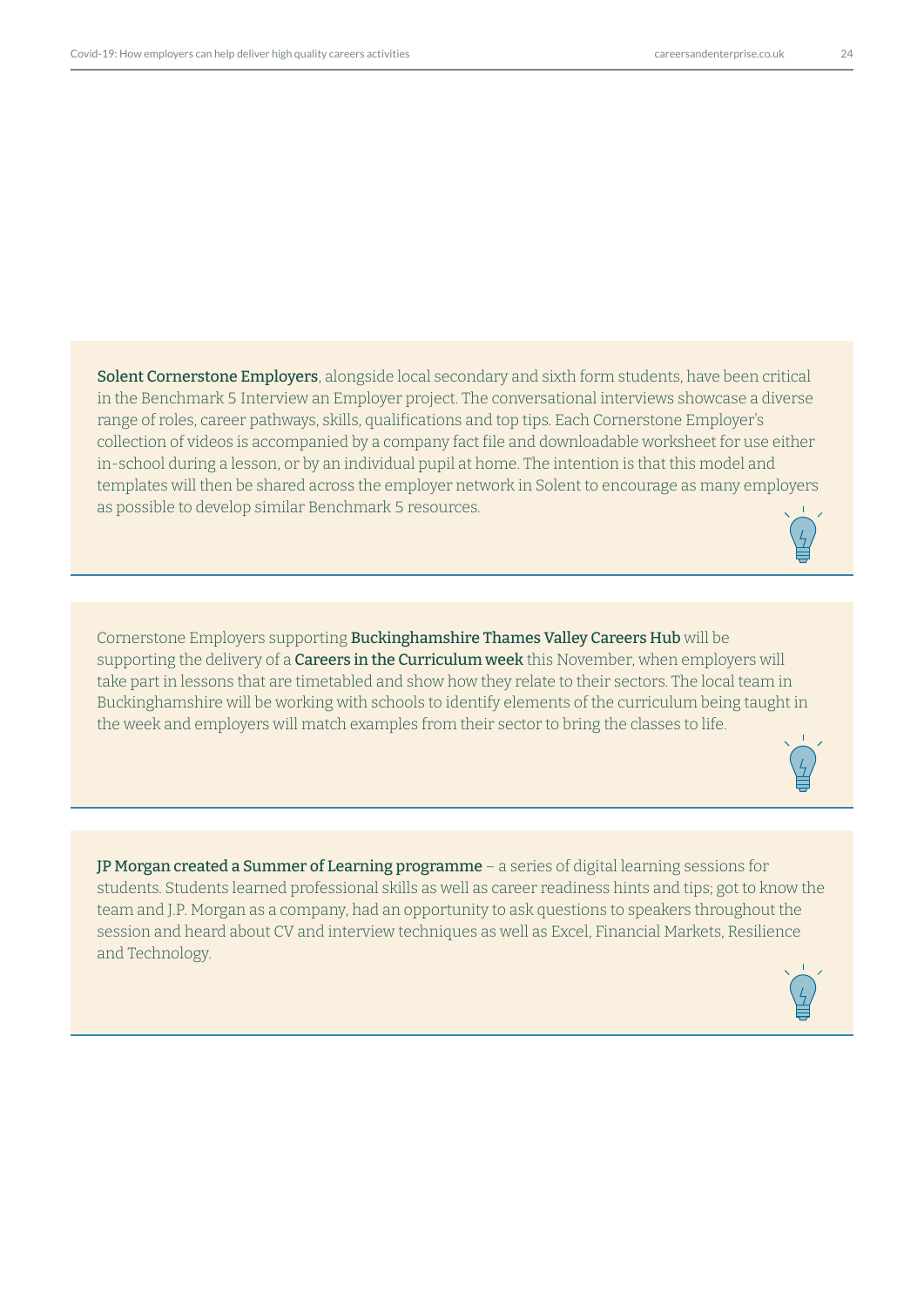Solent Cornerstone Employers, alongside local secondary and sixth form students, have been critical in the Benchmark 5 Interview an Employer project. The conversational interviews showcase a diverse range of roles, career pathways, skills, qualifications and top tips. Each Cornerstone Employer's collection of videos is accompanied by a company fact file and downloadable worksheet for use either in-school during a lesson, or by an individual pupil at home. The intention is that this model and templates will then be shared across the employer network in Solent to encourage as many employers as possible to develop similar Benchmark 5 resources.

Cornerstone Employers supporting Buckinghamshire Thames Valley Careers Hub will be supporting the delivery of a **Careers in the Curriculum week** this November, when employers will take part in lessons that are timetabled and show how they relate to their sectors. The local team in Buckinghamshire will be working with schools to identify elements of the curriculum being taught in the week and employers will match examples from their sector to bring the classes to life.



JP Morgan created a Summer of Learning programme – a series of digital learning sessions for students. Students learned professional skills as well as career readiness hints and tips; got to know the team and J.P. Morgan as a company, had an opportunity to ask questions to speakers throughout the session and heard about CV and interview techniques as well as Excel, Financial Markets, Resilience and Technology.

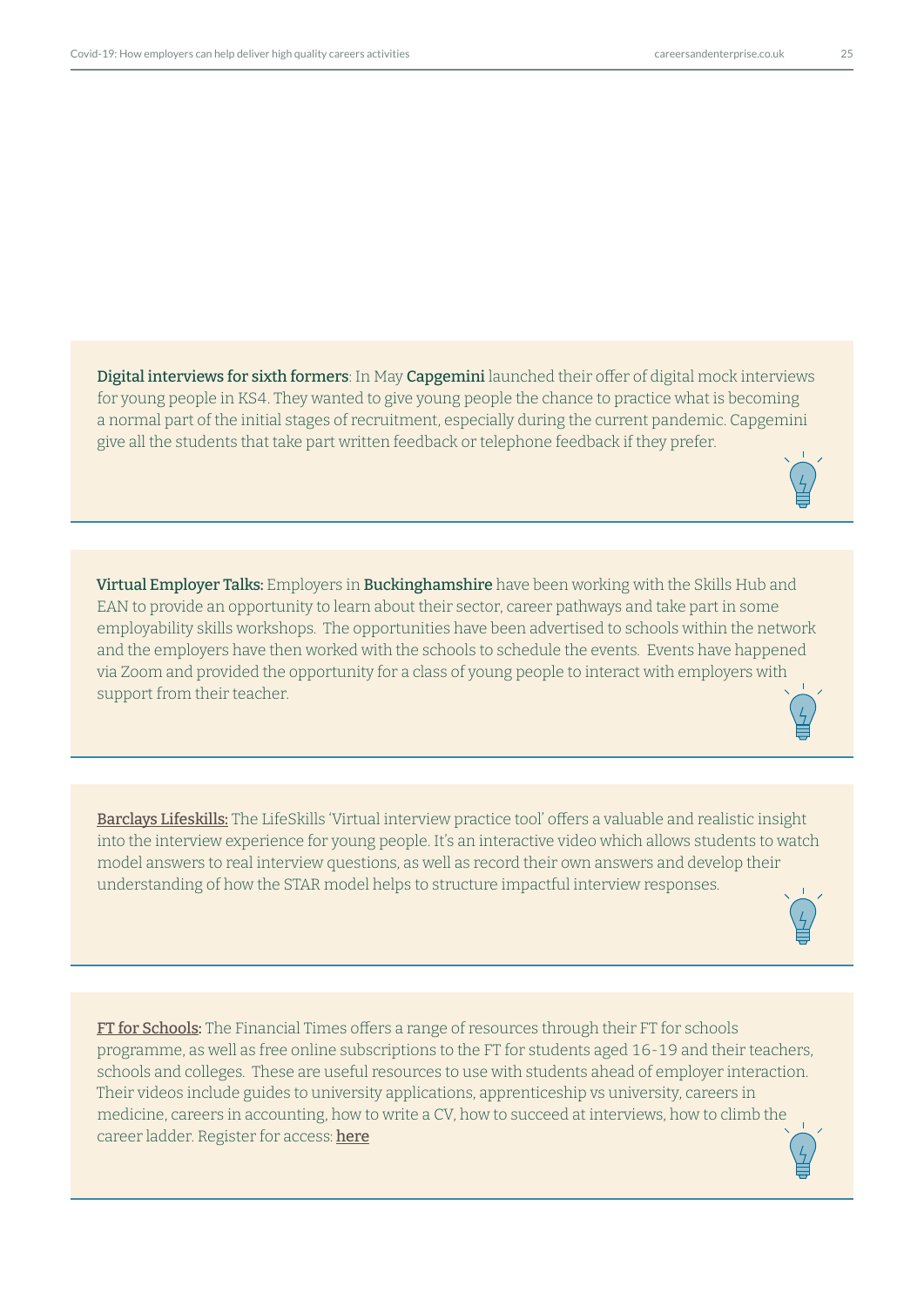Digital interviews for sixth formers: In May Capgemini launched their offer of digital mock interviews for young people in KS4. They wanted to give young people the chance to practice what is becoming a normal part of the initial stages of recruitment, especially during the current pandemic. Capgemini give all the students that take part written feedback or telephone feedback if they prefer.

Virtual Employer Talks: Employers in Buckinghamshire have been working with the Skills Hub and EAN to provide an opportunity to learn about their sector, career pathways and take part in some employability skills workshops. The opportunities have been advertised to schools within the network and the employers have then worked with the schools to schedule the events. Events have happened via Zoom and provided the opportunity for a class of young people to interact with employers with support from their teacher.

[Barclays Lifeskills:](https://barclayslifeskills.com/educators/lessons/using-the-virtual-interview-practice-tool) The LifeSkills 'Virtual interview practice tool' offers a valuable and realistic insight into the interview experience for young people. It's an interactive video which allows students to watch model answers to real interview questions, as well as record their own answers and develop their understanding of how the STAR model helps to structure impactful interview responses.

[FT for Schools:](https://www.youtube.com/channel/UCoScFQq9zB5fBvFNhO-gUlg) The Financial Times offers a range of resources through their FT for schools programme, as well as free online subscriptions to the FT for students aged 16-19 and their teachers, schools and colleges. These are useful resources to use with students ahead of employer interaction. Their videos include guides to university applications, apprenticeship vs university, careers in medicine, careers in accounting, how to write a CV, how to succeed at interviews, how to climb the career ladder. Register for access: [he](http://www.ft.com/schoolsarefree)re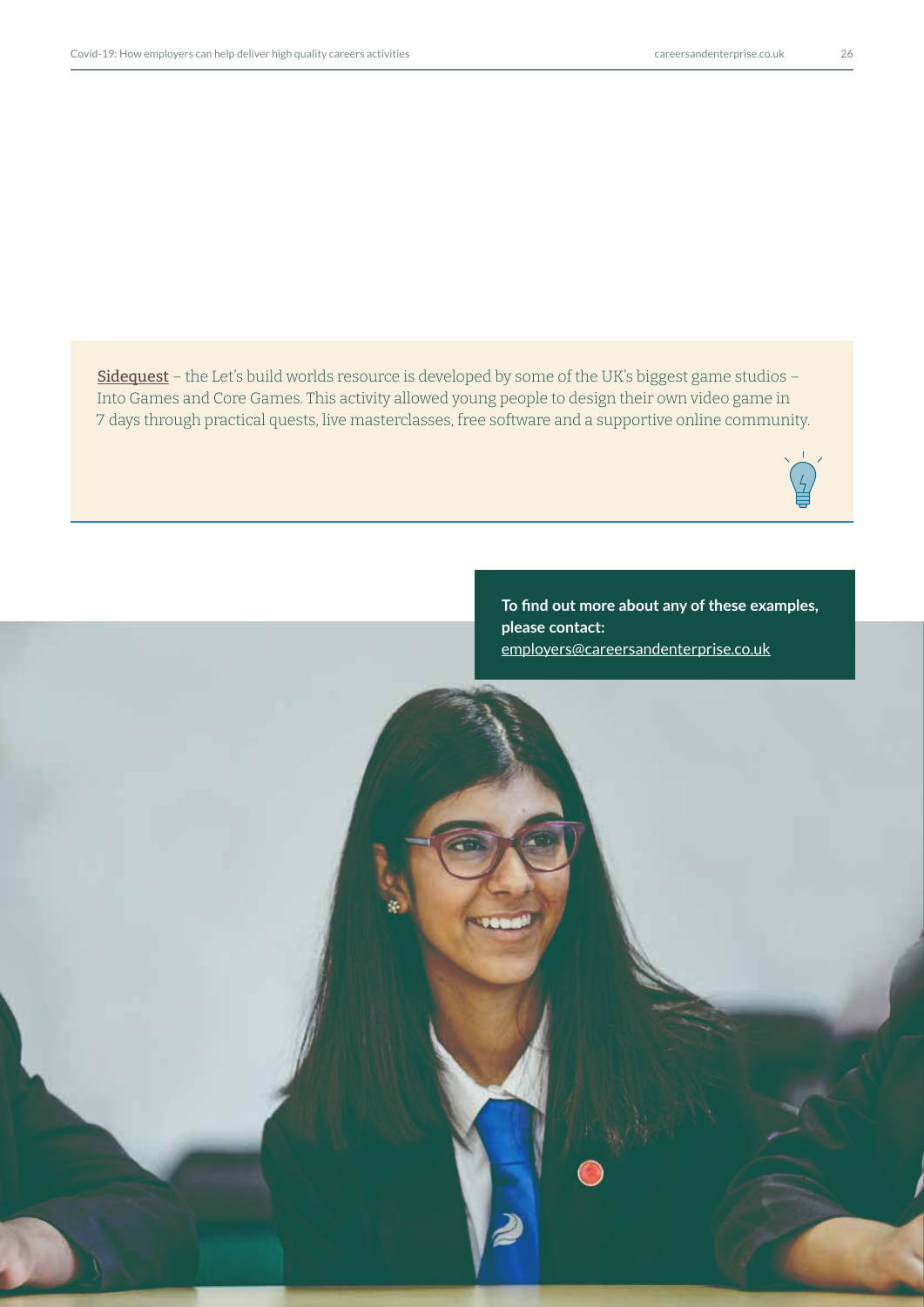[Sidequest](https://www.sidequest.org.uk/) - the Let's build worlds resource is developed by some of the UK's biggest game studios -Into Games and Core Games. This activity allowed young people to design their own video game in 7 days through practical quests, live masterclasses, free software and a supportive online community.



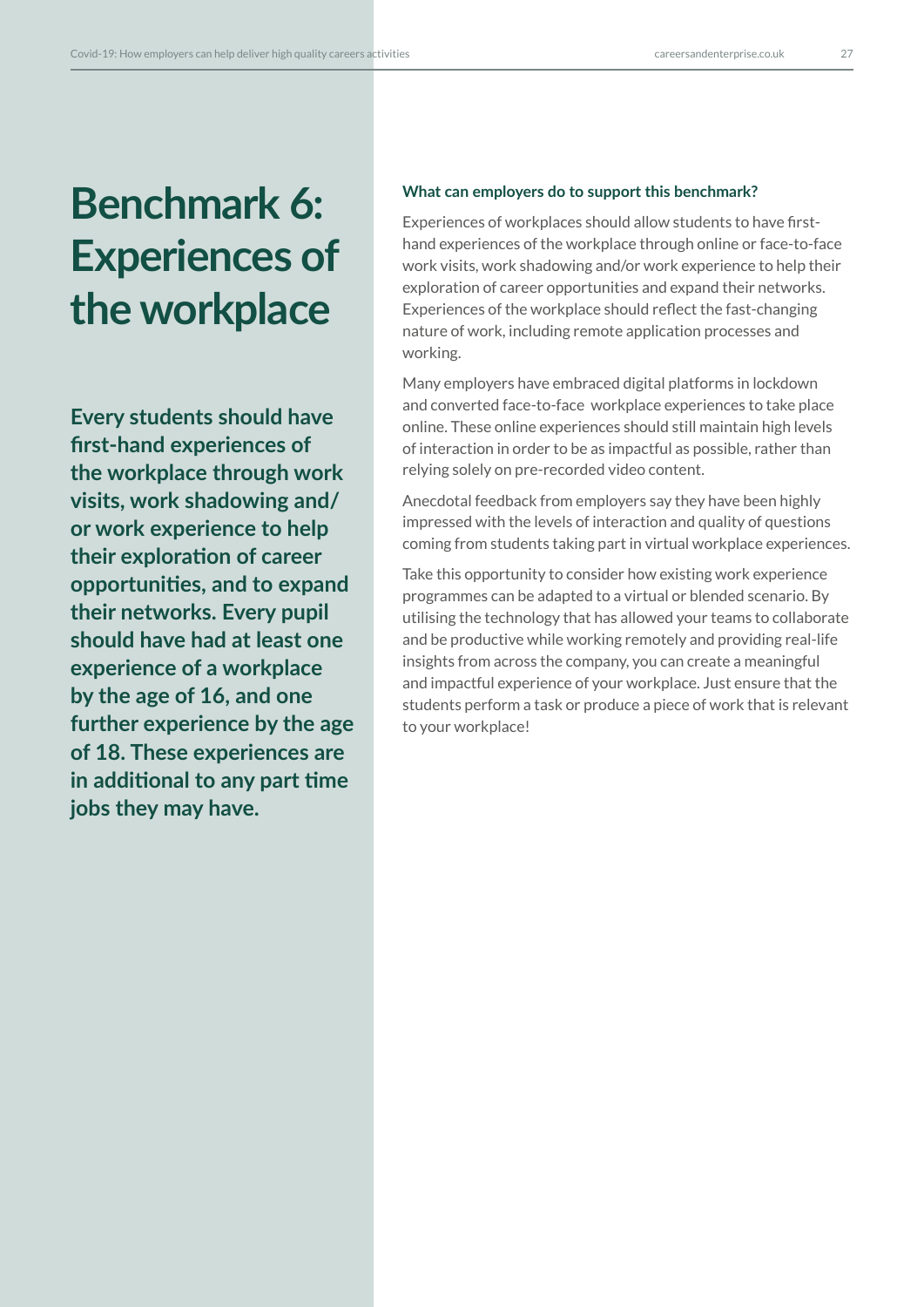# **Benchmark 6: Experiences of the workplace**

**Every students should have first-hand experiences of the workplace through work visits, work shadowing and/ or work experience to help their exploration of career opportunities, and to expand their networks. Every pupil should have had at least one experience of a workplace by the age of 16, and one further experience by the age of 18. These experiences are in additional to any part time jobs they may have.**

### **What can employers do to support this benchmark?**

Experiences of workplaces should allow students to have firsthand experiences of the workplace through online or face-to-face work visits, work shadowing and/or work experience to help their exploration of career opportunities and expand their networks. Experiences of the workplace should reflect the fast-changing nature of work, including remote application processes and working.

Many employers have embraced digital platforms in lockdown and converted face-to-face workplace experiences to take place online. These online experiences should still maintain high levels of interaction in order to be as impactful as possible, rather than relying solely on pre-recorded video content.

Anecdotal feedback from employers say they have been highly impressed with the levels of interaction and quality of questions coming from students taking part in virtual workplace experiences.

Take this opportunity to consider how existing work experience programmes can be adapted to a virtual or blended scenario. By utilising the technology that has allowed your teams to collaborate and be productive while working remotely and providing real-life insights from across the company, you can create a meaningful and impactful experience of your workplace. Just ensure that the students perform a task or produce a piece of work that is relevant to your workplace!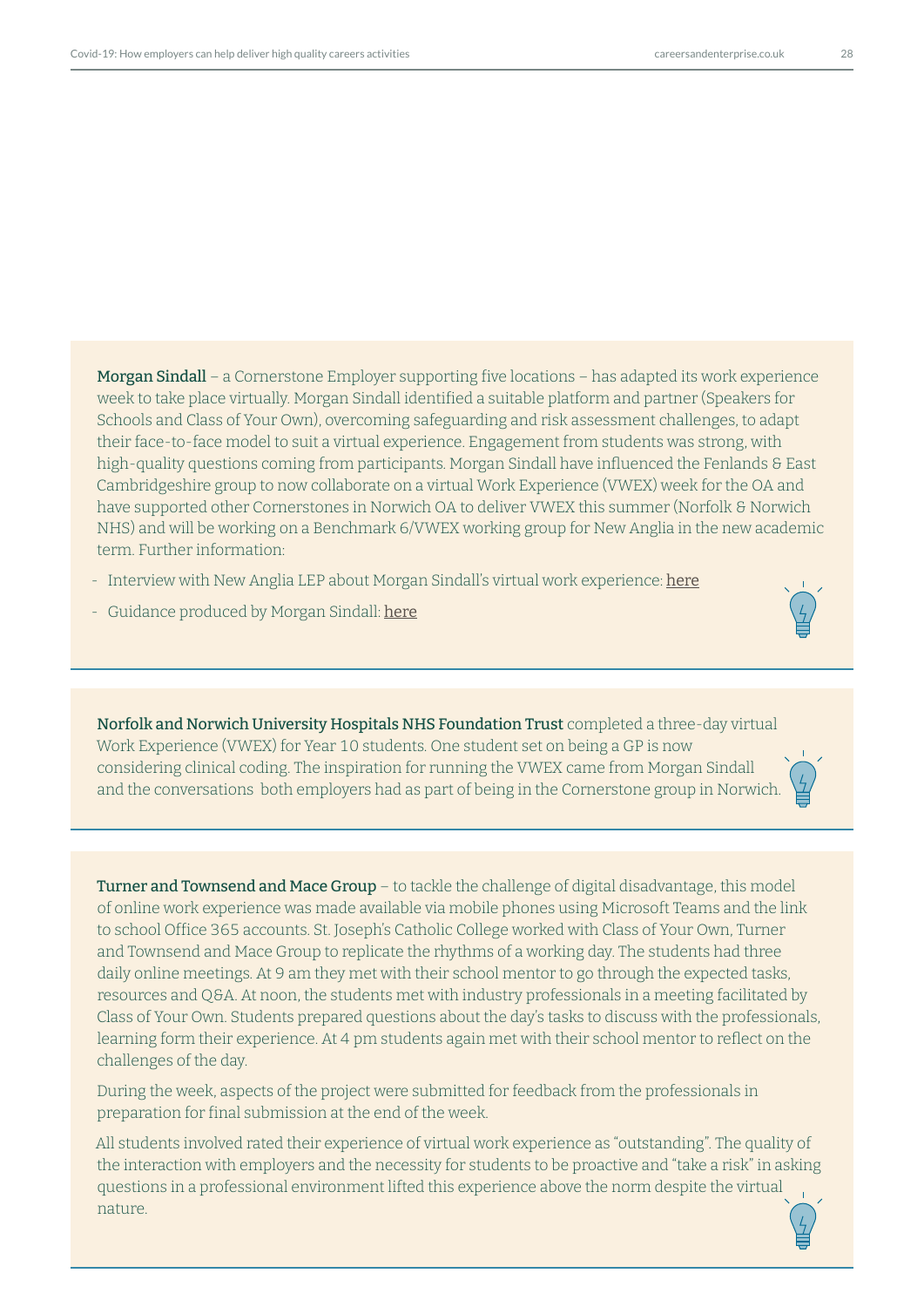Morgan Sindall – a Cornerstone Employer supporting five locations – has adapted its work experience week to take place virtually. Morgan Sindall identified a suitable platform and partner (Speakers for Schools and Class of Your Own), overcoming safeguarding and risk assessment challenges, to adapt their face-to-face model to suit a virtual experience. Engagement from students was strong, with high-quality questions coming from participants. Morgan Sindall have influenced the Fenlands & East Cambridgeshire group to now collaborate on a virtual Work Experience (VWEX) week for the OA and have supported other Cornerstones in Norwich OA to deliver VWEX this summer (Norfolk & Norwich

NHS) and will be working on a Benchmark 6/VWEX working group for New Anglia in the new academic

- Interview with New Anglia LEP about Morgan Sindall's virtual work experience: [he](https://www.youtube.com/watch?v=cDVRx229Er4)re
- Guidance produced by Morgan Sindall: [here](https://construction.morgansindall.com/news/delivering-virtual-work-experience-enriching-work-experience-through-digital-media )

term. Further information:

Norfolk and Norwich University Hospitals NHS Foundation Trust completed a three-day virtual Work Experience (VWEX) for Year 10 students. One student set on being a GP is now considering clinical coding. The inspiration for running the VWEX came from Morgan Sindall and the conversations both employers had as part of being in the Cornerstone group in Norwich.

Turner and Townsend and Mace Group – to tackle the challenge of digital disadvantage, this model of online work experience was made available via mobile phones using Microsoft Teams and the link to school Office 365 accounts. St. Joseph's Catholic College worked with Class of Your Own, Turner and Townsend and Mace Group to replicate the rhythms of a working day. The students had three daily online meetings. At 9 am they met with their school mentor to go through the expected tasks, resources and Q&A. At noon, the students met with industry professionals in a meeting facilitated by Class of Your Own. Students prepared questions about the day's tasks to discuss with the professionals, learning form their experience. At 4 pm students again met with their school mentor to reflect on the challenges of the day.

During the week, aspects of the project were submitted for feedback from the professionals in preparation for final submission at the end of the week.

All students involved rated their experience of virtual work experience as "outstanding". The quality of the interaction with employers and the necessity for students to be proactive and "take a risk" in asking questions in a professional environment lifted this experience above the norm despite the virtual nature.

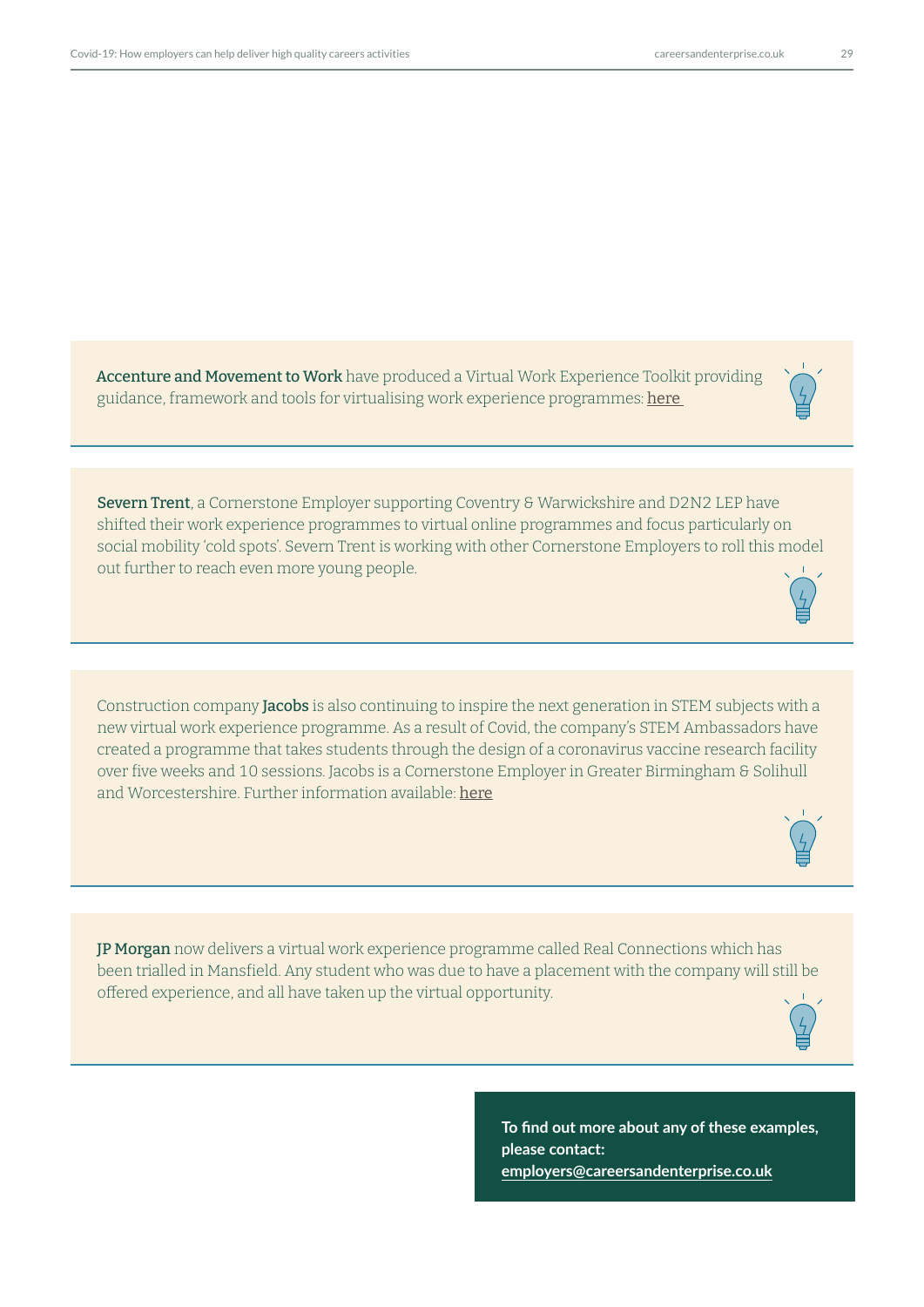Accenture and Movement to Work have produced a Virtual Work Experience Toolkit providing guidance, framework and tools for virtualising work experience programmes: here

Severn Trent, a Cornerstone Employer supporting Coventry & Warwickshire and D2N2 LEP have shifted their work experience programmes to virtual online programmes and focus particularly on social mobility 'cold spots'. Severn Trent is working with other Cornerstone Employers to roll this model out further to reach even more young people.

Construction company **Jacobs** is also continuing to inspire the next generation in STEM subjects with a new virtual work experience programme. As a result of Covid, the company's STEM Ambassadors have created a programme that takes students through the design of a coronavirus vaccine research facility over five weeks and 10 sessions. Jacobs is a Cornerstone Employer in Greater Birmingham & Solihull and Worcestershire. Further information available: [h](https://www.jacobs.com/newsroom/news/inspiring-next-generation-jacobs-virtual-work-experience-program-hit)ere

JP Morgan now delivers a virtual work experience programme called Real Connections which has been trialled in Mansfield. Any student who was due to have a placement with the company will still be offered experience, and all have taken up the virtual opportunity.

> **To find out more about any of these examples, please contact: employers@careersandenterprise.co.uk**





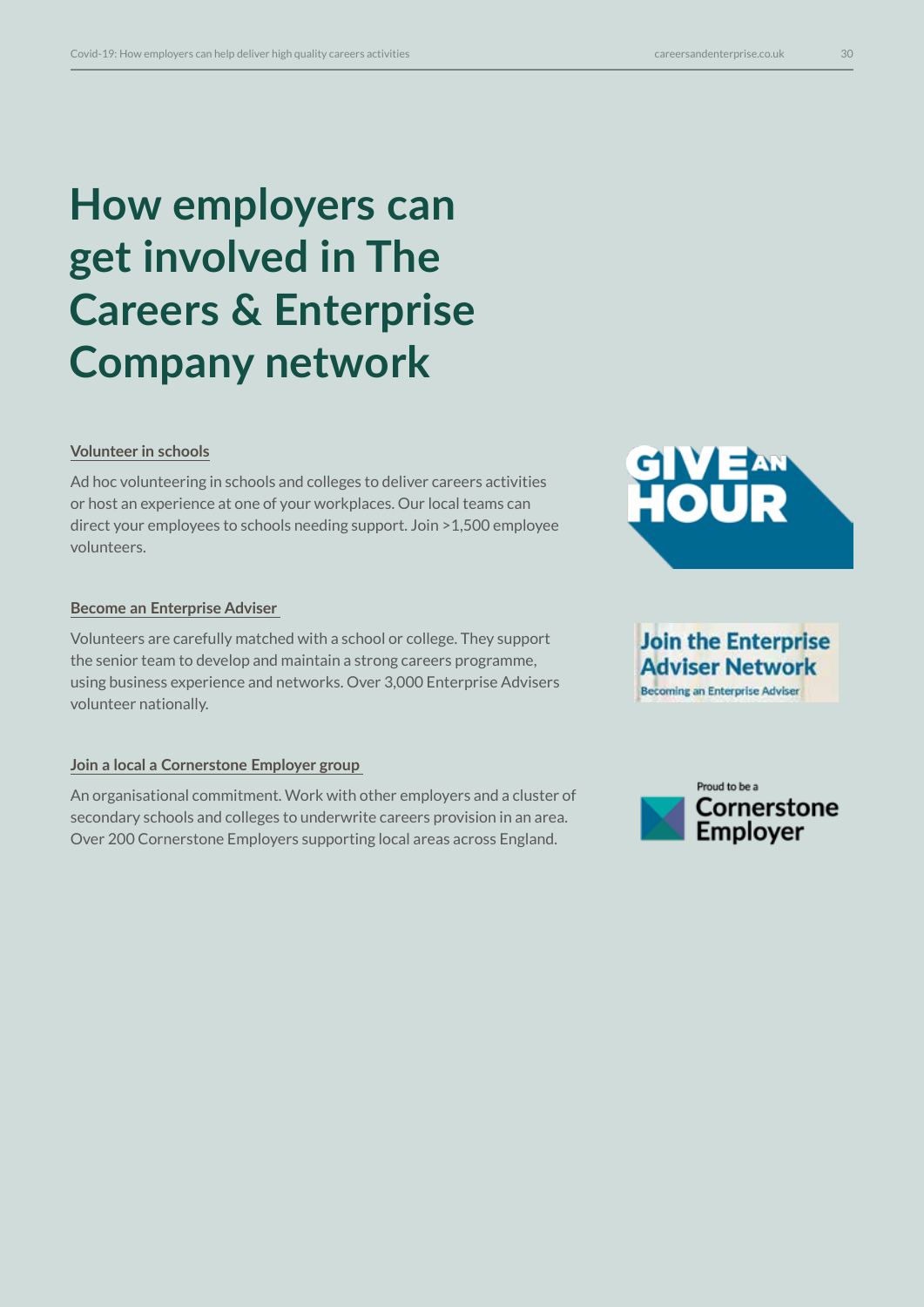# **How employers can get involved in The Careers & Enterprise Company network**

## **[Volunteer in schools](https://www.careersandenterprise.co.uk/news/encouraging-employers-be-heart-careers-education)**

Ad hoc volunteering in schools and colleges to deliver careers activities or host an experience at one of your workplaces. Our local teams can direct your employees to schools needing support. Join >1,500 employee volunteers.

## **[Become an Enterprise Adviser](www.careersandenterprise.co.uk/employers-volunteers/join-enterprise-adviser-network)**

Volunteers are carefully matched with a school or college. They support the senior team to develop and maintain a strong careers programme, using business experience and networks. Over 3,000 Enterprise Advisers volunteer nationally.

## **[Join a local a Cornerstone Employer group](https://www.careersandenterprise.co.uk/employers-volunteers/cornerstone-employers)**

An organisational commitment. Work with other employers and a cluster of secondary schools and colleges to underwrite careers provision in an area. Over 200 Cornerstone Employers supporting local areas across England.



**Becoming an Enterprise Adviser** 

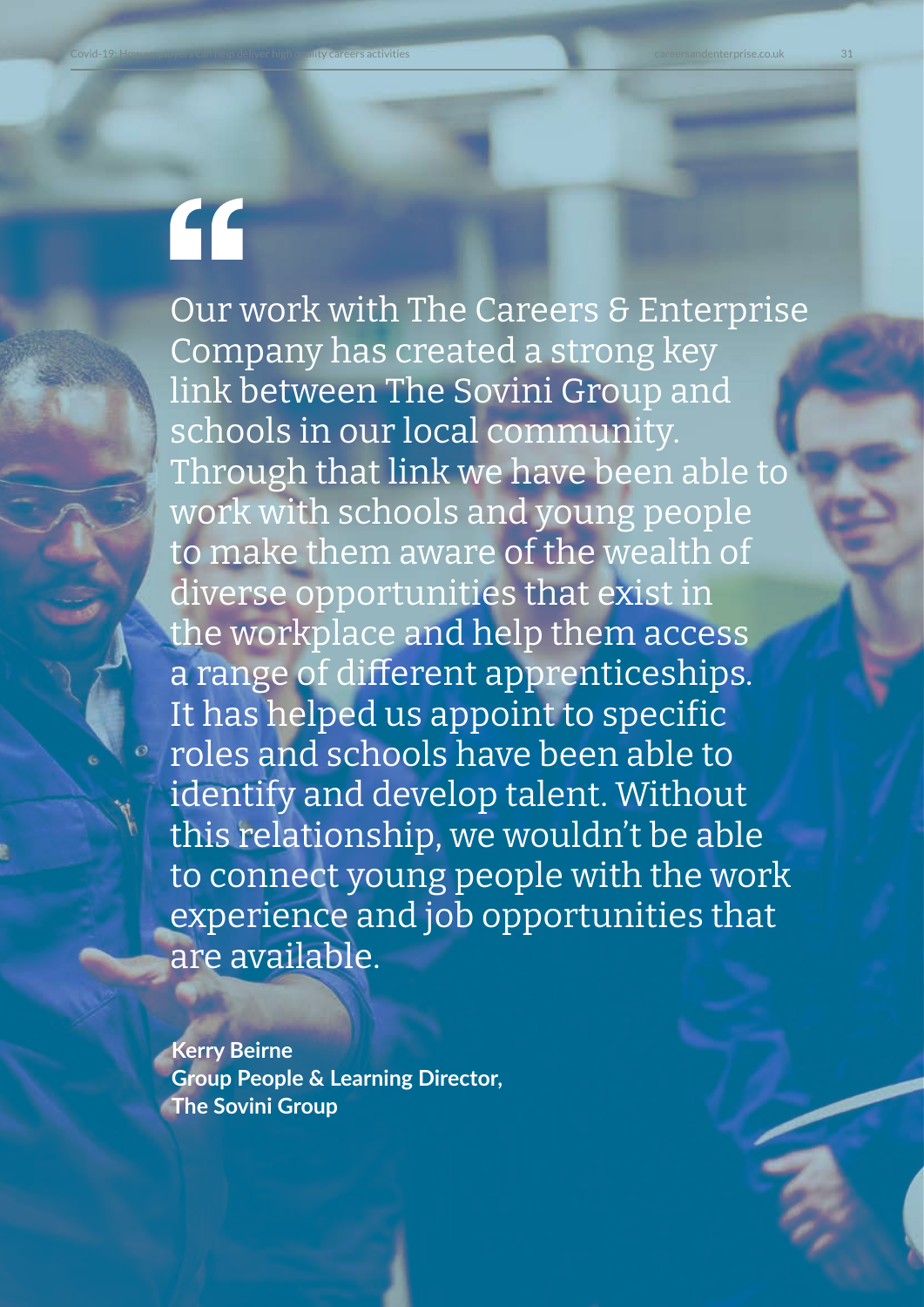# "

Our work with The Careers & Enterprise Company has created a strong key link between The Sovini Group and schools in our local community. Through that link we have been able to work with schools and young people to make them aware of the wealth of diverse opportunities that exist in the workplace and help them access a range of different apprenticeships. It has helped us appoint to specific roles and schools have been able to identify and develop talent. Without this relationship, we wouldn't be able to connect young people with the work experience and job opportunities that are available.

**Kerry Beirne Group People & Learning Director, The Sovini Group**